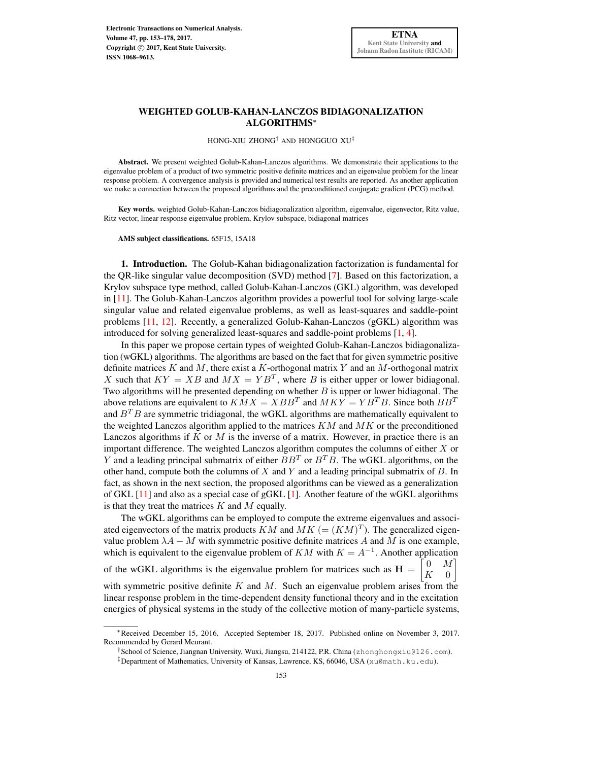HONG-XIU ZHONG† AND HONGGUO XU‡

Abstract. We present weighted Golub-Kahan-Lanczos algorithms. We demonstrate their applications to the eigenvalue problem of a product of two symmetric positive definite matrices and an eigenvalue problem for the linear response problem. A convergence analysis is provided and numerical test results are reported. As another application we make a connection between the proposed algorithms and the preconditioned conjugate gradient (PCG) method.

Key words. weighted Golub-Kahan-Lanczos bidiagonalization algorithm, eigenvalue, eigenvector, Ritz value, Ritz vector, linear response eigenvalue problem, Krylov subspace, bidiagonal matrices

AMS subject classifications. 65F15, 15A18

1. Introduction. The Golub-Kahan bidiagonalization factorization is fundamental for the QR-like singular value decomposition (SVD) method [\[7\]](#page-25-0). Based on this factorization, a Krylov subspace type method, called Golub-Kahan-Lanczos (GKL) algorithm, was developed in [\[11\]](#page-25-1). The Golub-Kahan-Lanczos algorithm provides a powerful tool for solving large-scale singular value and related eigenvalue problems, as well as least-squares and saddle-point problems [\[11,](#page-25-1) [12\]](#page-25-2). Recently, a generalized Golub-Kahan-Lanczos (gGKL) algorithm was introduced for solving generalized least-squares and saddle-point problems [\[1,](#page-25-3) [4\]](#page-25-4).

In this paper we propose certain types of weighted Golub-Kahan-Lanczos bidiagonalization (wGKL) algorithms. The algorithms are based on the fact that for given symmetric positive definite matrices K and M, there exist a K-orthogonal matrix Y and an M-orthogonal matrix X such that  $KY = XB$  and  $MX = YB<sup>T</sup>$ , where B is either upper or lower bidiagonal. Two algorithms will be presented depending on whether  $B$  is upper or lower bidiagonal. The above relations are equivalent to  $KMX = XBB^{T}$  and  $MKY = YB^{T}B$ . Since both  $BB^{T}$ and  $B^T B$  are symmetric tridiagonal, the wGKL algorithms are mathematically equivalent to the weighted Lanczos algorithm applied to the matrices  $KM$  and  $MK$  or the preconditioned Lanczos algorithms if  $K$  or  $M$  is the inverse of a matrix. However, in practice there is an important difference. The weighted Lanczos algorithm computes the columns of either  $X$  or Y and a leading principal submatrix of either  $BB<sup>T</sup>$  or  $B<sup>T</sup>B$ . The wGKL algorithms, on the other hand, compute both the columns of  $X$  and  $Y$  and a leading principal submatrix of  $B$ . In fact, as shown in the next section, the proposed algorithms can be viewed as a generalization of GKL [\[11\]](#page-25-1) and also as a special case of gGKL [\[1\]](#page-25-3). Another feature of the wGKL algorithms is that they treat the matrices  $K$  and  $M$  equally.

The wGKL algorithms can be employed to compute the extreme eigenvalues and associated eigenvectors of the matrix products  $KM$  and  $MK (= (KM)^T)$ . The generalized eigenvalue problem  $\lambda A - M$  with symmetric positive definite matrices A and M is one example, which is equivalent to the eigenvalue problem of  $KM$  with  $K = A^{-1}$ . Another application of the wGKL algorithms is the eigenvalue problem for matrices such as  $H =$  $\lceil$  $0 \quad M$ ]  $K \quad 0$ with symmetric positive definite  $K$  and  $M$ . Such an eigenvalue problem arises from the linear response problem in the time-dependent density functional theory and in the excitation energies of physical systems in the study of the collective motion of many-particle systems,

<sup>∗</sup>Received December 15, 2016. Accepted September 18, 2017. Published online on November 3, 2017. Recommended by Gerard Meurant.

<sup>†</sup>School of Science, Jiangnan University, Wuxi, Jiangsu, 214122, P.R. China (zhonghongxiu@126.com).

<sup>‡</sup>Department of Mathematics, University of Kansas, Lawrence, KS, 66046, USA (xu@math.ku.edu).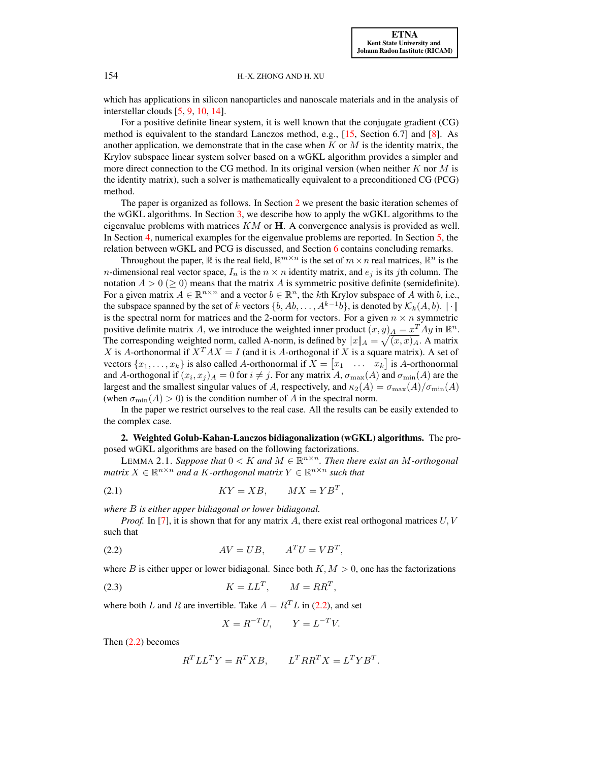which has applications in silicon nanoparticles and nanoscale materials and in the analysis of interstellar clouds [\[5,](#page-25-5) [9,](#page-25-6) [10,](#page-25-7) [14\]](#page-25-8).

For a positive definite linear system, it is well known that the conjugate gradient (CG) method is equivalent to the standard Lanczos method, e.g., [\[15,](#page-25-9) Section 6.7] and [\[8\]](#page-25-10). As another application, we demonstrate that in the case when  $K$  or  $M$  is the identity matrix, the Krylov subspace linear system solver based on a wGKL algorithm provides a simpler and more direct connection to the CG method. In its original version (when neither  $K$  nor  $M$  is the identity matrix), such a solver is mathematically equivalent to a preconditioned CG (PCG) method.

The paper is organized as follows. In Section [2](#page-1-0) we present the basic iteration schemes of the wGKL algorithms. In Section [3,](#page-5-0) we describe how to apply the wGKL algorithms to the eigenvalue problems with matrices  $KM$  or  $H$ . A convergence analysis is provided as well. In Section [4,](#page-16-0) numerical examples for the eigenvalue problems are reported. In Section [5,](#page-20-0) the relation between wGKL and PCG is discussed, and Section [6](#page-24-0) contains concluding remarks.

Throughout the paper,  $\mathbb R$  is the real field,  $\mathbb R^{m \times n}$  is the set of  $m \times n$  real matrices,  $\mathbb R^n$  is the *n*-dimensional real vector space,  $I_n$  is the  $n \times n$  identity matrix, and  $e_i$  is its jth column. The notation  $A > 0 \geq 0$ ) means that the matrix A is symmetric positive definite (semidefinite). For a given matrix  $A \in \mathbb{R}^{n \times n}$  and a vector  $b \in \mathbb{R}^n$ , the kth Krylov subspace of A with b, i.e., the subspace spanned by the set of k vectors  $\{b, Ab, \ldots, A^{k-1}b\}$ , is denoted by  $\mathcal{K}_k(A, b)$ .  $\|\cdot\|$ is the spectral norm for matrices and the 2-norm for vectors. For a given  $n \times n$  symmetric positive definite matrix A, we introduce the weighted inner product  $(x, y)_A = x^T A y$  in  $\mathbb{R}^n$ . The corresponding weighted norm, called A-norm, is defined by  $||x||_A = \sqrt{(x, x)_A}$ . A matrix X is A-orthonormal if  $X^T A X = I$  (and it is A-orthogonal if X is a square matrix). A set of vectors  $\{x_1, \ldots, x_k\}$  is also called A-orthonormal if  $X = \begin{bmatrix} x_1 & \ldots & x_k \end{bmatrix}$  is A-orthonormal and A-orthogonal if  $(x_i, x_j)_{A} = 0$  for  $i \neq j$ . For any matrix  $A$ ,  $\sigma_{\max}(A)$  and  $\sigma_{\min}(A)$  are the largest and the smallest singular values of A, respectively, and  $\kappa_2(A) = \sigma_{\max}(A)/\sigma_{\min}(A)$ (when  $\sigma_{\min}(A) > 0$ ) is the condition number of A in the spectral norm.

In the paper we restrict ourselves to the real case. All the results can be easily extended to the complex case.

<span id="page-1-0"></span>2. Weighted Golub-Kahan-Lanczos bidiagonalization (wGKL) algorithms. The proposed wGKL algorithms are based on the following factorizations.

LEMMA 2.1. *Suppose that*  $0 < K$  and  $M \in \mathbb{R}^{n \times n}$ . Then there exist an M-orthogonal  $matrix X \in \mathbb{R}^{n \times n}$  and a K-orthogonal matrix  $Y \in \mathbb{R}^{n \times n}$  such that

$$
(2.1) \t\t\t KY = XB, \t MX = YBT,
$$

*where* B *is either upper bidiagonal or lower bidiagonal.*

<span id="page-1-1"></span>*Proof.* In [\[7\]](#page-25-0), it is shown that for any matrix A, there exist real orthogonal matrices  $U, V$ such that

$$
(2.2) \t\t AV = UB, \t\t ATU = VBT,
$$

where B is either upper or lower bidiagonal. Since both  $K, M > 0$ , one has the factorizations

$$
(2.3) \t\t\t K = LL^T, \t\t M = RR^T,
$$

where both L and R are invertible. Take  $A = R<sup>T</sup>L$  in [\(2.2\)](#page-1-1), and set

<span id="page-1-3"></span><span id="page-1-2"></span>
$$
X = R^{-T}U, \qquad Y = L^{-T}V.
$$

Then [\(2.2\)](#page-1-1) becomes

$$
R^T L L^T Y = R^T X B, \qquad L^T R R^T X = L^T Y B^T.
$$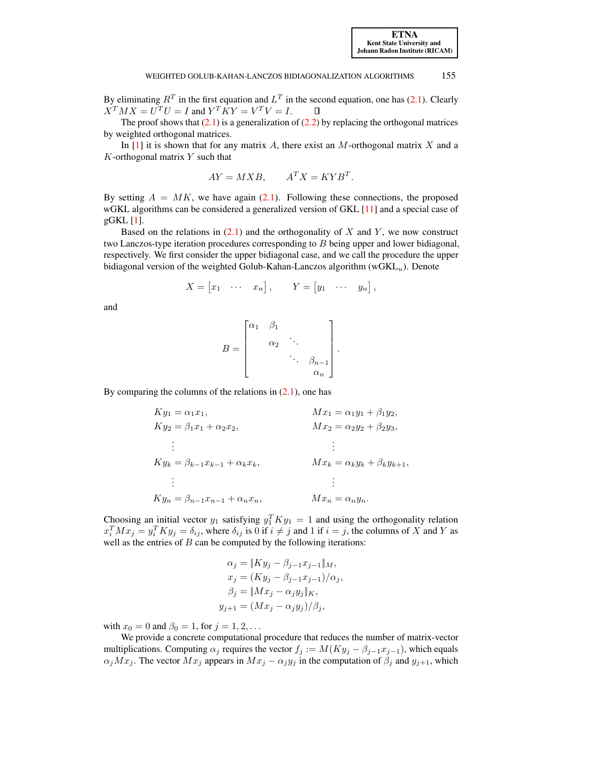By eliminating  $R^T$  in the first equation and  $L^T$  in the second equation, one has [\(2.1\)](#page-1-2). Clearly  $X^T M X = U^T U = I$  and  $Y^T K Y = V^T V = I$ .

The proof shows that  $(2.1)$  is a generalization of  $(2.2)$  by replacing the orthogonal matrices by weighted orthogonal matrices.

In  $[1]$  it is shown that for any matrix A, there exist an M-orthogonal matrix X and a  $K$ -orthogonal matrix  $Y$  such that

$$
AY = MXB, \qquad A^TX = KYB^T.
$$

By setting  $A = MK$ , we have again [\(2.1\)](#page-1-2). Following these connections, the proposed wGKL algorithms can be considered a generalized version of GKL [\[11\]](#page-25-1) and a special case of gGKL [\[1\]](#page-25-3).

Based on the relations in  $(2.1)$  and the orthogonality of X and Y, we now construct two Lanczos-type iteration procedures corresponding to  $B$  being upper and lower bidiagonal, respectively. We first consider the upper bidiagonal case, and we call the procedure the upper bidiagonal version of the weighted Golub-Kahan-Lanczos algorithm ( $wGKL_u$ ). Denote

$$
X = \begin{bmatrix} x_1 & \cdots & x_n \end{bmatrix}, \qquad Y = \begin{bmatrix} y_1 & \cdots & y_n \end{bmatrix},
$$

and

$$
B = \begin{bmatrix} \alpha_1 & \beta_1 & & \\ & \alpha_2 & \ddots & \\ & & \ddots & \beta_{n-1} \\ & & & \alpha_n \end{bmatrix}.
$$

By comparing the columns of the relations in  $(2.1)$ , one has

$$
Ky_{1} = \alpha_{1}x_{1}, \qquad Mx_{1} = \alpha_{1}y_{1} + \beta_{1}y_{2},
$$
  
\n
$$
Ky_{2} = \beta_{1}x_{1} + \alpha_{2}x_{2}, \qquad Mx_{2} = \alpha_{2}y_{2} + \beta_{2}y_{3},
$$
  
\n
$$
\vdots
$$
  
\n
$$
Ky_{k} = \beta_{k-1}x_{k-1} + \alpha_{k}x_{k}, \qquad Mx_{k} = \alpha_{k}y_{k} + \beta_{k}y_{k+1},
$$
  
\n
$$
\vdots
$$
  
\n
$$
Ky_{n} = \beta_{n-1}x_{n-1} + \alpha_{n}x_{n}, \qquad Mx_{n} = \alpha_{n}y_{n}.
$$

Choosing an initial vector  $y_1$  satisfying  $y_1^T K y_1 = 1$  and using the orthogonality relation  $x_i^T M x_j = y_i^T K y_j = \delta_{ij}$ , where  $\delta_{ij}$  is 0 if  $i \neq j$  and 1 if  $i = j$ , the columns of X and Y as well as the entries of  $B$  can be computed by the following iterations:

$$
\alpha_j = \|Ky_j - \beta_{j-1}x_{j-1}\|_M,
$$
  
\n
$$
x_j = (Ky_j - \beta_{j-1}x_{j-1})/\alpha_j,
$$
  
\n
$$
\beta_j = \|Mx_j - \alpha_jy_j\|_K,
$$
  
\n
$$
y_{j+1} = (Mx_j - \alpha_jy_j)/\beta_j,
$$

with  $x_0 = 0$  and  $\beta_0 = 1$ , for  $j = 1, 2, ...$ 

We provide a concrete computational procedure that reduces the number of matrix-vector multiplications. Computing  $\alpha_j$  requires the vector  $f_j := M(Ky_j - \beta_{j-1}x_{j-1})$ , which equals  $\alpha_j M x_j$ . The vector  $M x_j$  appears in  $M x_j - \alpha_j y_j$  in the computation of  $\beta_j$  and  $y_{j+1}$ , which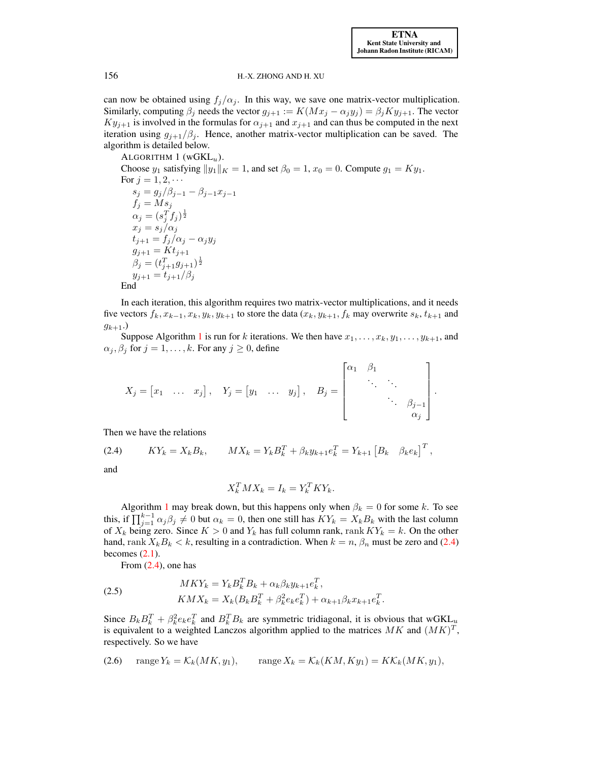can now be obtained using  $f_i/\alpha_i$ . In this way, we save one matrix-vector multiplication. Similarly, computing  $\beta_j$  needs the vector  $g_{j+1} := K(Mx_j - \alpha_j y_j) = \beta_j Ky_{j+1}$ . The vector  $Ky_{i+1}$  is involved in the formulas for  $\alpha_{i+1}$  and  $x_{i+1}$  and can thus be computed in the next iteration using  $g_{i+1}/\beta_i$ . Hence, another matrix-vector multiplication can be saved. The algorithm is detailed below.

<span id="page-3-0"></span>ALGORITHM  $1$  (wGKL<sub>u</sub>). Choose  $y_1$  satisfying  $||y_1||_K = 1$ , and set  $\beta_0 = 1$ ,  $x_0 = 0$ . Compute  $g_1 = Ky_1$ . For  $j = 1, 2, \cdots$  $s_j = g_j/\beta_{j-1} - \beta_{j-1}x_{j-1}$  $f_j = M s_j$  $\alpha_j = (s_j^T f_j)^{\frac{1}{2}}$  $x_j = s_j/\alpha_j$  $t_{j+1} = f_j/\alpha_j - \alpha_j y_j$  $g_{j+1} = Kt_{j+1}$  $\beta_j = (t_{j+1}^T g_{j+1})^{\frac{1}{2}}$  $y_{j+1} = t_{j+1}/\beta_j$ End

In each iteration, this algorithm requires two matrix-vector multiplications, and it needs five vectors  $f_k, x_{k-1}, x_k, y_k, y_{k+1}$  to store the data  $(x_k, y_{k+1}, f_k$  may overwrite  $s_k, t_{k+1}$  and  $g_{k+1}$ .

Suppose Algorithm [1](#page-3-0) is run for k iterations. We then have  $x_1, \ldots, x_k, y_1, \ldots, y_{k+1}$ , and  $\alpha_j, \beta_j$  for  $j = 1, \ldots, k$ . For any  $j \geq 0$ , define

$$
X_j = \begin{bmatrix} x_1 & \dots & x_j \end{bmatrix}, \quad Y_j = \begin{bmatrix} y_1 & \dots & y_j \end{bmatrix}, \quad B_j = \begin{bmatrix} \alpha_1 & \beta_1 & & & \\ & \ddots & \ddots & \\ & & \ddots & \beta_{j-1} \\ & & & \alpha_j \end{bmatrix}.
$$

Then we have the relations

(2.4)  $KY_k = X_k B_k, \qquad MX_k = Y_k B_k^T + \beta_k y_{k+1} e_k^T = Y_{k+1} [B_k \quad \beta_k e_k]^T,$ and

<span id="page-3-1"></span>
$$
X_k^T M X_k = I_k = Y_k^T K Y_k.
$$

Algorithm [1](#page-3-0) may break down, but this happens only when  $\beta_k = 0$  for some k. To see this, if  $\prod_{j=1}^{k-1} \alpha_j \beta_j \neq 0$  but  $\alpha_k = 0$ , then one still has  $KY_k = X_kB_k$  with the last column of  $X_k$  being zero. Since  $K > 0$  and  $Y_k$  has full column rank, rank  $KY_k = k$ . On the other hand, rank  $X_k B_k < k$ , resulting in a contradiction. When  $k = n$ ,  $\beta_n$  must be zero and [\(2.4\)](#page-3-1) becomes  $(2.1)$ .

<span id="page-3-2"></span>From  $(2.4)$ , one has

(2.5) 
$$
MKY_k = Y_k B_k^T B_k + \alpha_k \beta_k y_{k+1} e_k^T,
$$

$$
KMX_k = X_k (B_k B_k^T + \beta_k^2 e_k e_k^T) + \alpha_{k+1} \beta_k x_{k+1} e_k^T.
$$

<span id="page-3-3"></span>Since  $B_k B_k^T + \beta_k^2 e_k e_k^T$  and  $B_k^T B_k$  are symmetric tridiagonal, it is obvious that wGKL<sub>u</sub> is equivalent to a weighted Lanczos algorithm applied to the matrices  $MK$  and  $(MK)^T$ , respectively. So we have

(2.6) range 
$$
Y_k = \mathcal{K}_k(MK, y_1)
$$
, range  $X_k = \mathcal{K}_k(KM, Ky_1) = K\mathcal{K}_k(MK, y_1)$ ,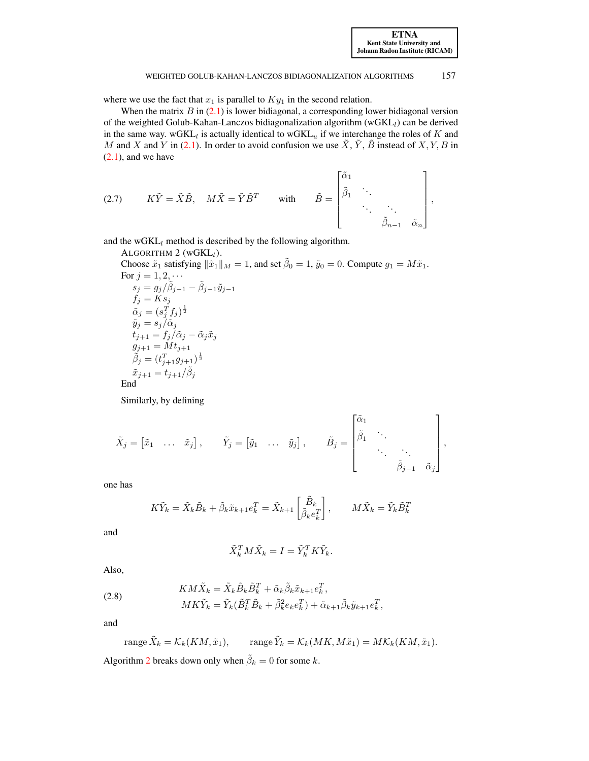where we use the fact that  $x_1$  is parallel to  $Ky_1$  in the second relation.

When the matrix  $B$  in  $(2.1)$  is lower bidiagonal, a corresponding lower bidiagonal version of the weighted Golub-Kahan-Lanczos bidiagonalization algorithm  $(wGKL_l)$  can be derived in the same way. wGKL<sub>l</sub> is actually identical to wGKL<sub>u</sub> if we interchange the roles of K and M and X and Y in [\(2.1\)](#page-1-2). In order to avoid confusion we use  $\tilde{X}$ ,  $\tilde{Y}$ ,  $\tilde{B}$  instead of  $X, Y, B$  in  $(2.1)$ , and we have

<span id="page-4-2"></span>(2.7) 
$$
K\tilde{Y} = \tilde{X}\tilde{B}, \quad M\tilde{X} = \tilde{Y}\tilde{B}^T
$$
 with  $\tilde{B} = \begin{bmatrix} \tilde{\alpha}_1 \\ \tilde{\beta}_1 & \cdot \\ \cdot & \cdot \\ \cdot & \cdot \\ \cdot & \tilde{\beta}_{n-1} & \tilde{\alpha}_n \end{bmatrix},$ 

<span id="page-4-0"></span>and the  $wGKL_l$  method is described by the following algorithm.

ALGORITHM 2 (
$$
wGKL_l
$$
).

Choose  $\tilde{x}_1$  satisfying  $\|\tilde{x}_1\|_M = 1$ , and set  $\tilde{\beta}_0 = 1$ ,  $\tilde{y}_0 = 0$ . Compute  $g_1 = M\tilde{x}_1$ . For  $j = 1, 2, \cdots$  $s_j = g_j / \tilde{\beta}_{j-1} - \tilde{\beta}_{j-1}\tilde{y}_{j-1}$  $f_j = Ks_j$  $\tilde{\alpha}_j = (s_j^T f_j)^{\frac{1}{2}}$  $\tilde{y}_j = s_j/\tilde{\alpha}_j$  $t_{j+1} = f_j/\tilde{\alpha}_j - \tilde{\alpha}_j \tilde{x}_j$  $g_{j+1} = M t_{j+1}$  $\tilde{\beta}_j = (t_{j+1}^T g_{j+1})^{\frac{1}{2}}$  $\tilde{x}_{j+1} = t_{j+1}/\tilde{\beta}_j$ End Similarly, by defining

$$
\tilde{X}_j = \begin{bmatrix} \tilde{x}_1 & \dots & \tilde{x}_j \end{bmatrix}, \qquad \tilde{Y}_j = \begin{bmatrix} \tilde{y}_1 & \dots & \tilde{y}_j \end{bmatrix}, \qquad \tilde{B}_j = \begin{bmatrix} \tilde{\alpha}_1 & & & \\ \tilde{\beta}_1 & \ddots & & \\ & & \ddots & \\ & & & \tilde{\beta}_{j-1} & \tilde{\alpha}_j \end{bmatrix},
$$

one has

$$
K\tilde{Y}_k = \tilde{X}_k \tilde{B}_k + \tilde{\beta}_k \tilde{x}_{k+1} e_k^T = \tilde{X}_{k+1} \begin{bmatrix} \tilde{B}_k \\ \tilde{\beta}_k e_k^T \end{bmatrix}, \qquad M\tilde{X}_k = \tilde{Y}_k \tilde{B}_k^T
$$

and

$$
\tilde{X}_k^T M \tilde{X}_k = I = \tilde{Y}_k^T K \tilde{Y}_k.
$$

<span id="page-4-1"></span>Also,

(2.8) 
$$
K M \tilde{X}_k = \tilde{X}_k \tilde{B}_k \tilde{B}_k^T + \tilde{\alpha}_k \tilde{\beta}_k \tilde{x}_{k+1} e_k^T,
$$

$$
M K \tilde{Y}_k = \tilde{Y}_k (\tilde{B}_k^T \tilde{B}_k + \tilde{\beta}_k^2 e_k e_k^T) + \tilde{\alpha}_{k+1} \tilde{\beta}_k \tilde{y}_{k+1} e_k^T,
$$

and

range 
$$
\tilde{X}_k = \mathcal{K}_k(KM, \tilde{x}_1)
$$
, range  $\tilde{Y}_k = \mathcal{K}_k(MK, M\tilde{x}_1) = M\mathcal{K}_k(KM, \tilde{x}_1)$ .

Algorithm [2](#page-4-0) breaks down only when  $\tilde{\beta}_k = 0$  for some k.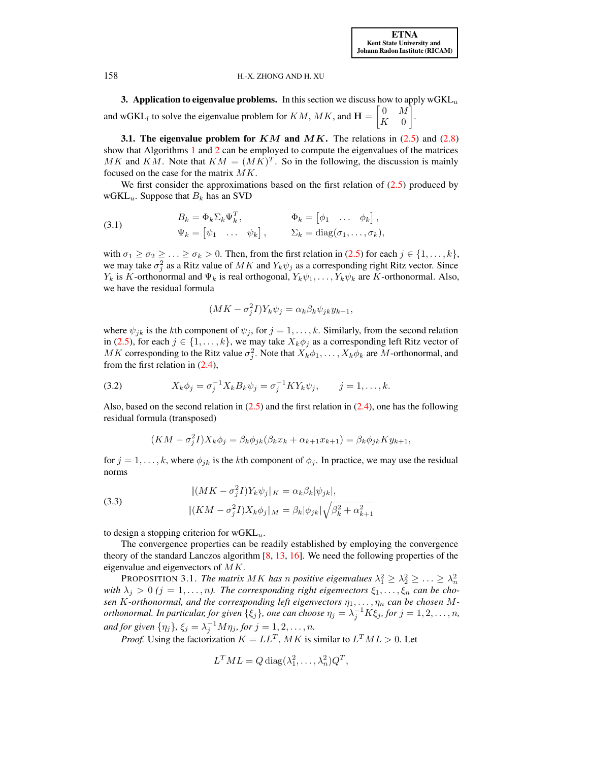<span id="page-5-0"></span>**3. Application to eigenvalue problems.** In this section we discuss how to apply  $wGKL_u$ and wGKL<sub>l</sub> to solve the eigenvalue problem for KM, MK, and  $\mathbf{H} = \begin{bmatrix} 0 & M \\ K & 0 \end{bmatrix}$  $K = 0$ 1 .

<span id="page-5-4"></span>**3.1. The eigenvalue problem for KM and MK.** The relations in  $(2.5)$  and  $(2.8)$ show that Algorithms [1](#page-3-0) and [2](#page-4-0) can be employed to compute the eigenvalues of the matrices MK and KM. Note that  $KM = (MK)^T$ . So in the following, the discussion is mainly focused on the case for the matrix  $MK$ .

We first consider the approximations based on the first relation of  $(2.5)$  produced by wGKL $_u$ . Suppose that  $B_k$  has an SVD

(3.1) 
$$
B_k = \Phi_k \Sigma_k \Psi_k^T, \qquad \Phi_k = [\phi_1 \quad \dots \quad \phi_k],
$$

$$
\Psi_k = [\psi_1 \quad \dots \quad \psi_k], \qquad \Sigma_k = \text{diag}(\sigma_1, \dots, \sigma_k),
$$

with  $\sigma_1 \geq \sigma_2 \geq \ldots \geq \sigma_k > 0$ . Then, from the first relation in [\(2.5\)](#page-3-2) for each  $j \in \{1, \ldots, k\}$ , we may take  $\sigma_j^2$  as a Ritz value of  $MK$  and  $Y_k \psi_j$  as a corresponding right Ritz vector. Since  $Y_k$  is K-orthonormal and  $\Psi_k$  is real orthogonal,  $Y_k\psi_1, \ldots, Y_k\psi_k$  are K-orthonormal. Also, we have the residual formula

<span id="page-5-3"></span><span id="page-5-2"></span>
$$
(MK - \sigma_j^2 I)Y_k \psi_j = \alpha_k \beta_k \psi_{jk} y_{k+1},
$$

where  $\psi_{jk}$  is the kth component of  $\psi_j$ , for  $j = 1, ..., k$ . Similarly, from the second relation in [\(2.5\)](#page-3-2), for each  $j \in \{1, ..., k\}$ , we may take  $X_k \phi_j$  as a corresponding left Ritz vector of MK corresponding to the Ritz value  $\sigma_j^2$ . Note that  $X_k\phi_1, \ldots, X_k\phi_k$  are M-orthonormal, and from the first relation in  $(2.4)$ ,

(3.2) 
$$
X_k \phi_j = \sigma_j^{-1} X_k B_k \psi_j = \sigma_j^{-1} K Y_k \psi_j, \qquad j = 1, ..., k.
$$

Also, based on the second relation in  $(2.5)$  and the first relation in  $(2.4)$ , one has the following residual formula (transposed)

$$
(KM - \sigma_j^2 I)X_k \phi_j = \beta_k \phi_{jk} (\beta_k x_k + \alpha_{k+1} x_{k+1}) = \beta_k \phi_{jk} K y_{k+1},
$$

<span id="page-5-5"></span>for  $j = 1, \ldots, k$ , where  $\phi_{jk}$  is the kth component of  $\phi_j$ . In practice, we may use the residual norms

(3.3) 
$$
\| (MK - \sigma_j^2 I) Y_k \psi_j \|_K = \alpha_k \beta_k |\psi_{jk}|,
$$

$$
\| (KM - \sigma_j^2 I) X_k \phi_j \|_M = \beta_k |\phi_{jk}| \sqrt{\beta_k^2 + \alpha_{k+1}^2}
$$

to design a stopping criterion for  $wGKL_u$ .

The convergence properties can be readily established by employing the convergence theory of the standard Lanczos algorithm [\[8,](#page-25-10) [13,](#page-25-11) [16\]](#page-25-12). We need the following properties of the eigenvalue and eigenvectors of  $MK$ .

PROPOSITION 3.1. *The matrix MK has n positive eigenvalues*  $\lambda_1^2 \geq \lambda_2^2 \geq \ldots \geq \lambda_n^2$ *with*  $\lambda_j > 0$  ( $j = 1, \ldots, n$ ). The corresponding right eigenvectors  $\xi_1, \ldots, \xi_n$  can be cho*sen K*-orthonormal, and the corresponding left eigenvectors  $\eta_1, \ldots, \eta_n$  *can be chosen Morthonormal. In particular, for given*  $\{\xi_j\}$ , *one can choose*  $\eta_j = \lambda_j^{-1} K \xi_j$ , for  $j = 1, 2, ..., n$ , and for given  $\{\eta_j\}$ ,  $\xi_j = \lambda_j^{-1} M \eta_j$ , for  $j = 1, 2, \ldots, n$ .

*Proof.* Using the factorization  $K = LL^T$ , MK is similar to  $L^T M L > 0$ . Let

<span id="page-5-1"></span>
$$
L^T M L = Q \operatorname{diag}(\lambda_1^2, \dots, \lambda_n^2) Q^T,
$$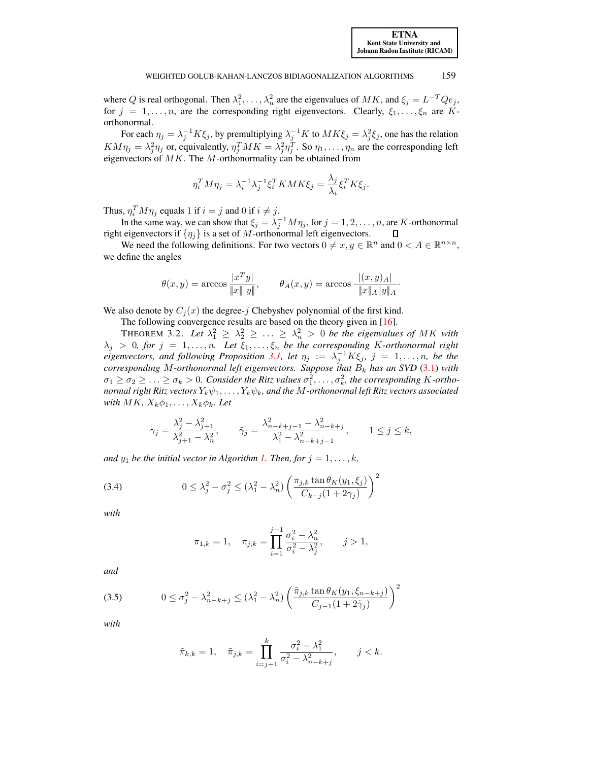where Q is real orthogonal. Then  $\lambda_1^2, \dots, \lambda_n^2$  are the eigenvalues of  $MK$ , and  $\xi_j = L^{-T} Q e_j$ , for  $j = 1, \ldots, n$ , are the corresponding right eigenvectors. Clearly,  $\xi_1, \ldots, \xi_n$  are Korthonormal.

For each  $\eta_j = \lambda_j^{-1} K \xi_j$ , by premultiplying  $\lambda_j^{-1} K$  to  $MK \xi_j = \lambda_j^2 \xi_j$ , one has the relation  $KM\eta_j = \lambda_j^2 \eta_j$  or, equivalently,  $\eta_j^T MK = \lambda_j^2 \eta_j^T$ . So  $\eta_1, \dots, \eta_n$  are the corresponding left eigenvectors of  $MK$ . The  $M$ -orthonormality can be obtained from

$$
\eta_i^T M \eta_j = \lambda_i^{-1} \lambda_j^{-1} \xi_i^T K M K \xi_j = \frac{\lambda_j}{\lambda_i} \xi_i^T K \xi_j.
$$

Thus,  $\eta_i^T M \eta_j$  equals 1 if  $i = j$  and 0 if  $i \neq j$ .

In the same way, we can show that  $\xi_j = \lambda_j^{-1} M \eta_j$ , for  $j = 1, 2, ..., n$ , are K-orthonormal right eigenvectors if  $\{\eta_j\}$  is a set of M-orthonormal left eigenvectors.  $\Box$ 

We need the following definitions. For two vectors  $0 \neq x, y \in \mathbb{R}^n$  and  $0 < A \in \mathbb{R}^{n \times n}$ , we define the angles

<span id="page-6-2"></span>
$$
\theta(x, y) = \arccos \frac{|x^T y|}{\|x\| \|y\|}, \qquad \theta_A(x, y) = \arccos \frac{|(x, y)_A|}{\|x\| \|x\| \|y\| A}.
$$

We also denote by  $C_i(x)$  the degree-j Chebyshev polynomial of the first kind.

The following convergence results are based on the theory given in [\[16\]](#page-25-12).

THEOREM 3.2. Let  $\lambda_1^2 \geq \lambda_2^2 \geq \ldots \geq \lambda_n^2 > 0$  be the eigenvalues of MK with  $\lambda_j > 0$ , for  $j = 1, \ldots, n$ . Let  $\xi_1, \ldots, \xi_n$  be the corresponding K-orthonormal right *eigenvectors, and following Proposition* [3.1,](#page-5-1) let  $\eta_j := \lambda_j^{-1} K \xi_j$ ,  $j = 1, ..., n$ , be the *corresponding* M-orthonormal left eigenvectors. Suppose that  $B_k$  has an SVD [\(3.1\)](#page-5-2) with  $\sigma_1 \geq \sigma_2 \geq \ldots \geq \sigma_k > 0$ . Consider the Ritz values  $\sigma_1^2, \ldots, \sigma_k^2$ , the corresponding K-ortho*normal right Ritz vectors*  $Y_k \psi_1, \ldots, Y_k \psi_k$ , and the M-orthonormal left Ritz vectors associated *with*  $MK, X_k\phi_1, \ldots, X_k\phi_k$ *. Let* 

$$
\gamma_j = \frac{\lambda_j^2 - \lambda_{j+1}^2}{\lambda_{j+1}^2 - \lambda_n^2}, \qquad \tilde{\gamma}_j = \frac{\lambda_{n-k+j-1}^2 - \lambda_{n-k+j}^2}{\lambda_1^2 - \lambda_{n-k+j-1}^2}, \qquad 1 \le j \le k,
$$

*and*  $y_1$  *be the initial vector in Algorithm [1.](#page-3-0) Then, for*  $j = 1, \ldots, k$ *,* 

(3.4) 
$$
0 \leq \lambda_j^2 - \sigma_j^2 \leq (\lambda_1^2 - \lambda_n^2) \left( \frac{\pi_{j,k} \tan \theta_K(y_1, \xi_j)}{C_{k-j} (1 + 2\gamma_j)} \right)^2
$$

*with*

<span id="page-6-0"></span>
$$
\pi_{1,k} = 1, \quad \pi_{j,k} = \prod_{i=1}^{j-1} \frac{\sigma_i^2 - \lambda_n^2}{\sigma_i^2 - \lambda_j^2}, \quad j > 1,
$$

<span id="page-6-1"></span>*and*

(3.5) 
$$
0 \le \sigma_j^2 - \lambda_{n-k+j}^2 \le (\lambda_1^2 - \lambda_n^2) \left( \frac{\tilde{\pi}_{j,k} \tan \theta_K(y_1, \xi_{n-k+j})}{C_{j-1} (1 + 2\tilde{\gamma}_j)} \right)^2
$$

*with*

$$
\tilde{\pi}_{k,k} = 1, \quad \tilde{\pi}_{j,k} = \prod_{i=j+1}^{k} \frac{\sigma_i^2 - \lambda_1^2}{\sigma_i^2 - \lambda_{n-k+j}^2}, \qquad j < k.
$$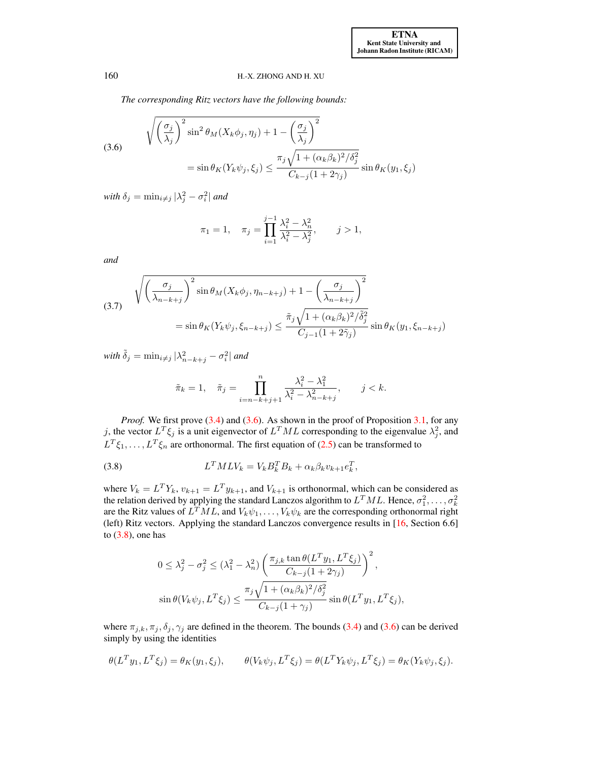*The corresponding Ritz vectors have the following bounds:*

(3.6)  
\n
$$
\sqrt{\left(\frac{\sigma_j}{\lambda_j}\right)^2 \sin^2 \theta_M(X_k \phi_j, \eta_j) + 1 - \left(\frac{\sigma_j}{\lambda_j}\right)^2}
$$
\n
$$
= \sin \theta_K(Y_k \psi_j, \xi_j) \le \frac{\pi_j \sqrt{1 + (\alpha_k \beta_k)^2 / \delta_j^2}}{C_{k-j}(1 + 2\gamma_j)} \sin \theta_K(y_1, \xi_j)
$$

 $with \delta_j = \min_{i \neq j} |\lambda_j^2 - \sigma_i^2|$  and

<span id="page-7-0"></span>
$$
\pi_1 = 1, \quad \pi_j = \prod_{i=1}^{j-1} \frac{\lambda_i^2 - \lambda_n^2}{\lambda_i^2 - \lambda_j^2}, \quad j > 1,
$$

<span id="page-7-2"></span>*and*

(3.7) 
$$
\sqrt{\left(\frac{\sigma_j}{\lambda_{n-k+j}}\right)^2 \sin \theta_M(X_k \phi_j, \eta_{n-k+j}) + 1 - \left(\frac{\sigma_j}{\lambda_{n-k+j}}\right)^2}
$$

$$
= \sin \theta_K(Y_k \psi_j, \xi_{n-k+j}) \le \frac{\tilde{\pi}_j \sqrt{1 + (\alpha_k \beta_k)^2 / \tilde{\delta}_j^2}}{C_{j-1} (1 + 2\tilde{\gamma}_j)} \sin \theta_K(y_1, \xi_{n-k+j})
$$

 $with \ \tilde{\delta}_j = \min_{i \neq j} |\lambda_{n-k+j}^2 - \sigma_i^2|$  and

<span id="page-7-1"></span>
$$
\tilde{\pi}_k = 1, \quad \tilde{\pi}_j = \prod_{i=n-k+j+1}^n \frac{\lambda_i^2 - \lambda_1^2}{\lambda_i^2 - \lambda_{n-k+j}^2}, \qquad j < k.
$$

*Proof.* We first prove [\(3.4\)](#page-6-0) and [\(3.6\)](#page-7-0). As shown in the proof of Proposition [3.1,](#page-5-1) for any j, the vector  $L^T \xi_j$  is a unit eigenvector of  $L^T M L$  corresponding to the eigenvalue  $\lambda_j^2$ , and  $L^T \xi_1, \ldots, L^T \xi_n$  are orthonormal. The first equation of [\(2.5\)](#page-3-2) can be transformed to

(3.8) 
$$
L^T M L V_k = V_k B_k^T B_k + \alpha_k \beta_k v_{k+1} e_k^T,
$$

where  $V_k = L^T Y_k$ ,  $v_{k+1} = L^T y_{k+1}$ , and  $V_{k+1}$  is orthonormal, which can be considered as the relation derived by applying the standard Lanczos algorithm to  $L^T M L$ . Hence,  $\sigma_1^2, \ldots, \sigma_k^2$ are the Ritz values of  $L^T M L$ , and  $V_k \psi_1, \ldots, V_k \psi_k$  are the corresponding orthonormal right (left) Ritz vectors. Applying the standard Lanczos convergence results in [\[16,](#page-25-12) Section 6.6] to  $(3.8)$ , one has

$$
0 \leq \lambda_j^2 - \sigma_j^2 \leq (\lambda_1^2 - \lambda_n^2) \left( \frac{\pi_{j,k} \tan \theta (L^T y_1, L^T \xi_j)}{C_{k-j} (1 + 2\gamma_j)} \right)^2,
$$
  

$$
\sin \theta (V_k \psi_j, L^T \xi_j) \leq \frac{\pi_j \sqrt{1 + (\alpha_k \beta_k)^2 / \delta_j^2}}{C_{k-j} (1 + \gamma_j)} \sin \theta (L^T y_1, L^T \xi_j),
$$

where  $\pi_{j,k}, \pi_j, \delta_j, \gamma_j$  are defined in the theorem. The bounds [\(3.4\)](#page-6-0) and [\(3.6\)](#page-7-0) can be derived simply by using the identities

$$
\theta(L^T y_1, L^T \xi_j) = \theta_K(y_1, \xi_j), \qquad \theta(V_k \psi_j, L^T \xi_j) = \theta(L^T Y_k \psi_j, L^T \xi_j) = \theta_K(Y_k \psi_j, \xi_j).
$$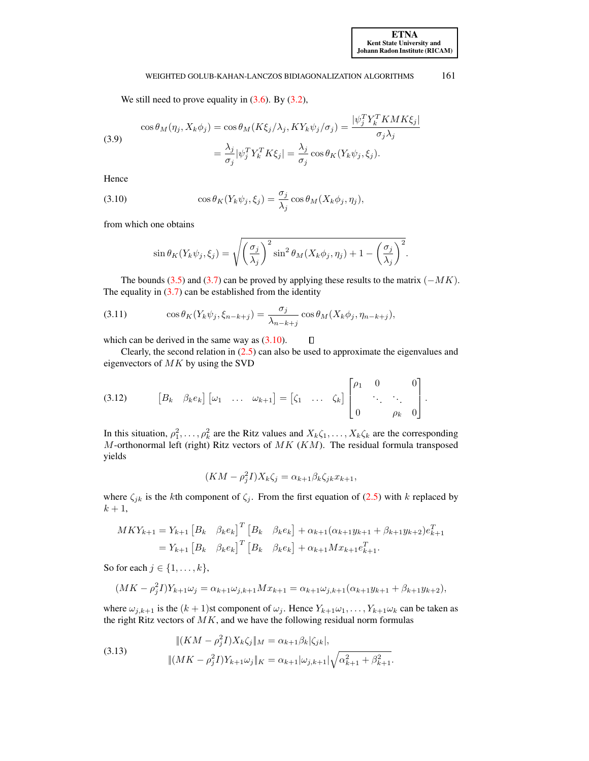We still need to prove equality in  $(3.6)$ . By  $(3.2)$ ,

(3.9)  
\n
$$
\cos \theta_M(\eta_j, X_k \phi_j) = \cos \theta_M(K\xi_j/\lambda_j, KY_k \psi_j/\sigma_j) = \frac{|\psi_j^T Y_k^T K M K \xi_j|}{\sigma_j \lambda_j}
$$
\n
$$
= \frac{\lambda_j}{\sigma_j} |\psi_j^T Y_k^T K \xi_j| = \frac{\lambda_j}{\sigma_j} \cos \theta_K(Y_k \psi_j, \xi_j).
$$

<span id="page-8-0"></span>Hence

(3.10) 
$$
\cos \theta_K(Y_k \psi_j, \xi_j) = \frac{\sigma_j}{\lambda_j} \cos \theta_M(X_k \phi_j, \eta_j),
$$

from which one obtains

$$
\sin \theta_K(Y_k \psi_j, \xi_j) = \sqrt{\left(\frac{\sigma_j}{\lambda_j}\right)^2 \sin^2 \theta_M(X_k \phi_j, \eta_j) + 1 - \left(\frac{\sigma_j}{\lambda_j}\right)^2}.
$$

The bounds [\(3.5\)](#page-6-1) and [\(3.7\)](#page-7-2) can be proved by applying these results to the matrix  $(-MK)$ . The equality in  $(3.7)$  can be established from the identity

(3.11) 
$$
\cos \theta_K(Y_k \psi_j, \xi_{n-k+j}) = \frac{\sigma_j}{\lambda_{n-k+j}} \cos \theta_M(X_k \phi_j, \eta_{n-k+j}),
$$

which can be derived in the same way as  $(3.10)$ .

Clearly, the second relation in  $(2.5)$  can also be used to approximate the eigenvalues and eigenvectors of  $MK$  by using the SVD

<span id="page-8-2"></span><span id="page-8-1"></span> $\Box$ 

$$
(3.12) \qquad \begin{bmatrix} B_k & \beta_k e_k \end{bmatrix} \begin{bmatrix} \omega_1 & \dots & \omega_{k+1} \end{bmatrix} = \begin{bmatrix} \zeta_1 & \dots & \zeta_k \end{bmatrix} \begin{bmatrix} \rho_1 & 0 & 0 \\ & \ddots & \ddots \\ 0 & \rho_k & 0 \end{bmatrix}.
$$

In this situation,  $\rho_1^2, \ldots, \rho_k^2$  are the Ritz values and  $X_k \zeta_1, \ldots, X_k \zeta_k$  are the corresponding M-orthonormal left (right) Ritz vectors of  $MK (KM)$ . The residual formula transposed yields

<span id="page-8-4"></span>
$$
(KM - \rho_j^2 I)X_k \zeta_j = \alpha_{k+1} \beta_k \zeta_{jk} x_{k+1},
$$

where  $\zeta_{jk}$  is the kth component of  $\zeta_j$ . From the first equation of [\(2.5\)](#page-3-2) with k replaced by  $k+1$ ,

$$
MKY_{k+1} = Y_{k+1} [B_k \quad \beta_k e_k]^T [B_k \quad \beta_k e_k] + \alpha_{k+1} (\alpha_{k+1} y_{k+1} + \beta_{k+1} y_{k+2}) e_{k+1}^T
$$
  
=  $Y_{k+1} [B_k \quad \beta_k e_k]^T [B_k \quad \beta_k e_k] + \alpha_{k+1} M x_{k+1} e_{k+1}^T$ .

So for each  $j \in \{1, \ldots, k\},\$ 

$$
(MK - \rho_j^2 I)Y_{k+1}\omega_j = \alpha_{k+1}\omega_{j,k+1}Mx_{k+1} = \alpha_{k+1}\omega_{j,k+1}(\alpha_{k+1}y_{k+1} + \beta_{k+1}y_{k+2}),
$$

where  $\omega_{j,k+1}$  is the  $(k+1)$ st component of  $\omega_j$ . Hence  $Y_{k+1}\omega_1,\ldots,Y_{k+1}\omega_k$  can be taken as the right Ritz vectors of  $MK$ , and we have the following residual norm formulas

(3.13) 
$$
\|(KM - \rho_j^2 I)X_k \zeta_j\|_M = \alpha_{k+1}\beta_k |\zeta_{jk}|,
$$

$$
\|(MK - \rho_j^2 I)Y_{k+1}\omega_j\|_K = \alpha_{k+1}|\omega_{j,k+1}|\sqrt{\alpha_{k+1}^2 + \beta_{k+1}^2}.
$$

<span id="page-8-3"></span>[ETNA](http://etna.ricam.oeaw.ac.at) [Kent State University and](http://www.kent.edu) [Johann Radon Institute \(RICAM\)](http://www.ricam.oeaw.ac.at)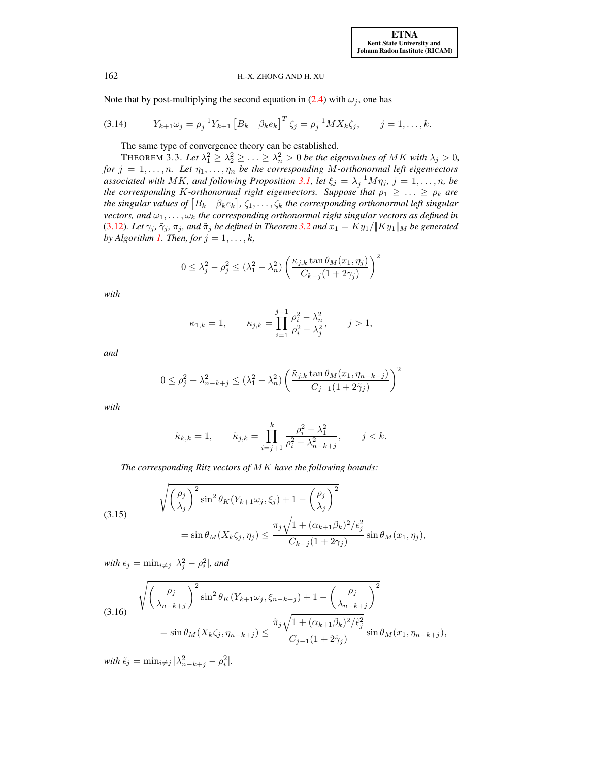Note that by post-multiplying the second equation in [\(2.4\)](#page-3-1) with  $\omega_i$ , one has

(3.14) 
$$
Y_{k+1}\omega_j = \rho_j^{-1}Y_{k+1} \left[B_k \quad \beta_k e_k\right]^T \zeta_j = \rho_j^{-1}MX_k \zeta_j, \qquad j = 1, ..., k.
$$

The same type of convergence theory can be established.

THEOREM 3.3. Let  $\lambda_1^2 \geq \lambda_2^2 \geq \ldots \geq \lambda_n^2 > 0$  be the eigenvalues of MK with  $\lambda_j > 0$ , *for*  $j = 1, \ldots, n$ *. Let*  $\eta_1, \ldots, \eta_n$  *be the corresponding* M-orthonormal left eigenvectors *associated with MK, and following Proposition [3.1,](#page-5-1) let*  $\xi_j = \lambda_j^{-1} M \eta_j$ ,  $j = 1, ..., n$ , be *the corresponding* K-orthonormal right eigenvectors. Suppose that  $\rho_1 \geq \ldots \geq \rho_k$  are the singular values of  $[B_k \quad \beta_k e_k]$ ,  $\zeta_1, \ldots, \zeta_k$  the corresponding orthonormal left singular *vectors, and*  $\omega_1, \ldots, \omega_k$  *the corresponding orthonormal right singular vectors as defined in* [\(3.12\)](#page-8-1)*. Let*  $\gamma_j$ ,  $\tilde{\gamma}_j$ ,  $\pi_j$ , and  $\tilde{\pi}_j$  *be defined in Theorem* [3.2](#page-6-2) *and*  $x_1 = Ky_1 / ||Ky_1||_M$  *be generated by Algorithm [1.](#page-3-0) Then, for*  $j = 1, \ldots, k$ *,* 

<span id="page-9-3"></span><span id="page-9-0"></span>
$$
0 \le \lambda_j^2 - \rho_j^2 \le (\lambda_1^2 - \lambda_n^2) \left( \frac{\kappa_{j,k} \tan \theta_M(x_1, \eta_j)}{C_{k-j} (1 + 2\gamma_j)} \right)^2
$$

*with*

$$
\kappa_{1,k} = 1,
$$
\n $\kappa_{j,k} = \prod_{i=1}^{j-1} \frac{\rho_i^2 - \lambda_n^2}{\rho_i^2 - \lambda_j^2}, \quad j > 1,$ 

*and*

$$
0 \leq \rho_j^2 - \lambda_{n-k+j}^2 \leq (\lambda_1^2 - \lambda_n^2) \left( \frac{\tilde{\kappa}_{j,k} \tan \theta_M(x_1, \eta_{n-k+j})}{C_{j-1} (1 + 2\tilde{\gamma}_j)} \right)^2
$$

*with*

<span id="page-9-1"></span>
$$
\tilde{\kappa}_{k,k} = 1, \qquad \tilde{\kappa}_{j,k} = \prod_{i=j+1}^k \frac{\rho_i^2 - \lambda_1^2}{\rho_i^2 - \lambda_{n-k+j}^2}, \qquad j < k.
$$

*The corresponding Ritz vectors of* MK *have the following bounds:*

(3.15) 
$$
\sqrt{\left(\frac{\rho_j}{\lambda_j}\right)^2 \sin^2 \theta_K(Y_{k+1}\omega_j, \xi_j) + 1 - \left(\frac{\rho_j}{\lambda_j}\right)^2}
$$

$$
= \sin \theta_M(X_k\zeta_j, \eta_j) \le \frac{\pi_j \sqrt{1 + (\alpha_{k+1}\beta_k)^2/\epsilon_j^2}}{C_{k-j}(1 + 2\gamma_j)} \sin \theta_M(x_1, \eta_j),
$$

<span id="page-9-2"></span>*with*  $\epsilon_j = \min_{i \neq j} |\lambda_j^2 - \rho_i^2|$ , and

$$
(3.16) \quad \sqrt{\left(\frac{\rho_j}{\lambda_{n-k+j}}\right)^2 \sin^2 \theta_K(Y_{k+1}\omega_j, \xi_{n-k+j}) + 1 - \left(\frac{\rho_j}{\lambda_{n-k+j}}\right)^2}
$$
\n
$$
= \sin \theta_M(X_k\zeta_j, \eta_{n-k+j}) \le \frac{\tilde{\pi}_j \sqrt{1 + (\alpha_{k+1}\beta_k)^2/\tilde{\epsilon}_j^2}}{C_{j-1}(1+2\tilde{\gamma}_j)} \sin \theta_M(x_1, \eta_{n-k+j}),
$$

 $with \tilde{\epsilon}_j = \min_{i \neq j} |\lambda_{n-k+j}^2 - \rho_i^2|.$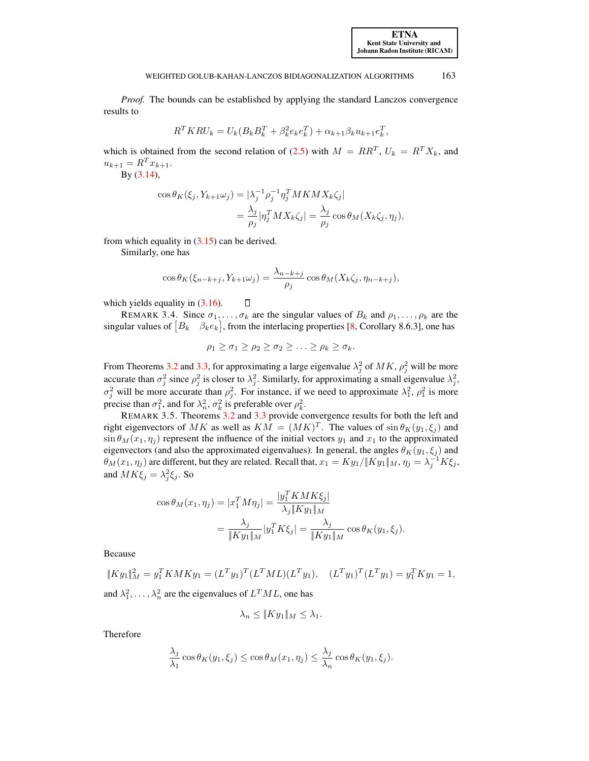*Proof.* The bounds can be established by applying the standard Lanczos convergence results to

$$
R^{T}KRU_{k} = U_{k}(B_{k}B_{k}^{T} + \beta_{k}^{2}e_{k}e_{k}^{T}) + \alpha_{k+1}\beta_{k}u_{k+1}e_{k}^{T},
$$

which is obtained from the second relation of [\(2.5\)](#page-3-2) with  $M = RR^T$ ,  $U_k = R^T X_k$ , and  $u_{k+1} = R^T x_{k+1}.$ 

By [\(3.14\)](#page-9-0),

$$
\cos \theta_K(\xi_j, Y_{k+1}\omega_j) = |\lambda_j^{-1} \rho_j^{-1} \eta_j^T M K M X_k \zeta_j|
$$
  
= 
$$
\frac{\lambda_j}{\rho_j} |\eta_j^T M X_k \zeta_j| = \frac{\lambda_j}{\rho_j} \cos \theta_M (X_k \zeta_j, \eta_j),
$$

from which equality in  $(3.15)$  can be derived.

Similarly, one has

$$
\cos \theta_K(\xi_{n-k+j}, Y_{k+1}\omega_j) = \frac{\lambda_{n-k+j}}{\rho_j} \cos \theta_M(X_k\zeta_j, \eta_{n-k+j}),
$$

which yields equality in  $(3.16)$ .

REMARK 3.4. Since  $\sigma_1, \ldots, \sigma_k$  are the singular values of  $B_k$  and  $\rho_1, \ldots, \rho_k$  are the singular values of  $[B_k \quad \beta_k e_k]$ , from the interlacing properties [\[8,](#page-25-10) Corollary 8.6.3], one has

<span id="page-10-0"></span> $\Box$ 

$$
\rho_1 \geq \sigma_1 \geq \rho_2 \geq \sigma_2 \geq \ldots \geq \rho_k \geq \sigma_k.
$$

From Theorems [3.2](#page-6-2) and [3.3,](#page-9-3) for approximating a large eigenvalue  $\lambda_j^2$  of  $MK$ ,  $\rho_j^2$  will be more accurate than  $\sigma_j^2$  since  $\rho_j^2$  is closer to  $\lambda_j^2$ . Similarly, for approximating a small eigenvalue  $\lambda_j^2$ ,  $\sigma_j^2$  will be more accurate than  $\rho_j^2$ . For instance, if we need to approximate  $\lambda_1^2$ ,  $\rho_1^2$  is more precise than  $\sigma_1^2$ , and for  $\lambda_n^2$ ,  $\sigma_k^2$  is preferable over  $\rho_k^2$ .

REMARK 3.5. Theorems [3.2](#page-6-2) and [3.3](#page-9-3) provide convergence results for both the left and right eigenvectors of MK as well as  $KM = (MK)^T$ . The values of  $\sin \theta_K(y_1, \xi_j)$  and  $\sin \theta_M(x_1, \eta_i)$  represent the influence of the initial vectors  $y_1$  and  $x_1$  to the approximated eigenvectors (and also the approximated eigenvalues). In general, the angles  $\theta_K(y_1, \xi_j)$  and  $\theta_M(x_1, \eta_j)$  are different, but they are related. Recall that,  $x_1 = Ky_1/||Ky_1||_M, \eta_j = \lambda_j^{-1}K\xi_j,$ and  $MK\xi_j = \lambda_j^2 \xi_j$ . So

$$
\cos \theta_M(x_1, \eta_j) = |x_1^T M \eta_j| = \frac{|y_1^T K M K \xi_j|}{\lambda_j \| K y_1 \|_M}
$$
  
= 
$$
\frac{\lambda_j}{\| K y_1 \|_M} |y_1^T K \xi_j| = \frac{\lambda_j}{\| K y_1 \|_M} \cos \theta_K(y_1, \xi_j).
$$

Because

$$
||Ky_1||_M^2 = y_1^T K M K y_1 = (L^T y_1)^T (L^T M L)(L^T y_1), \quad (L^T y_1)^T (L^T y_1) = y_1^T K y_1 = 1,
$$
  
and  $\lambda_1^2, \dots, \lambda_n^2$  are the eigenvalues of  $L^T M L$ , one has

$$
\lambda_n \le \|Ky_1\|_M \le \lambda_1.
$$

Therefore

$$
\frac{\lambda_j}{\lambda_1} \cos \theta_K(y_1, \xi_j) \le \cos \theta_M(x_1, \eta_j) \le \frac{\lambda_j}{\lambda_n} \cos \theta_K(y_1, \xi_j).
$$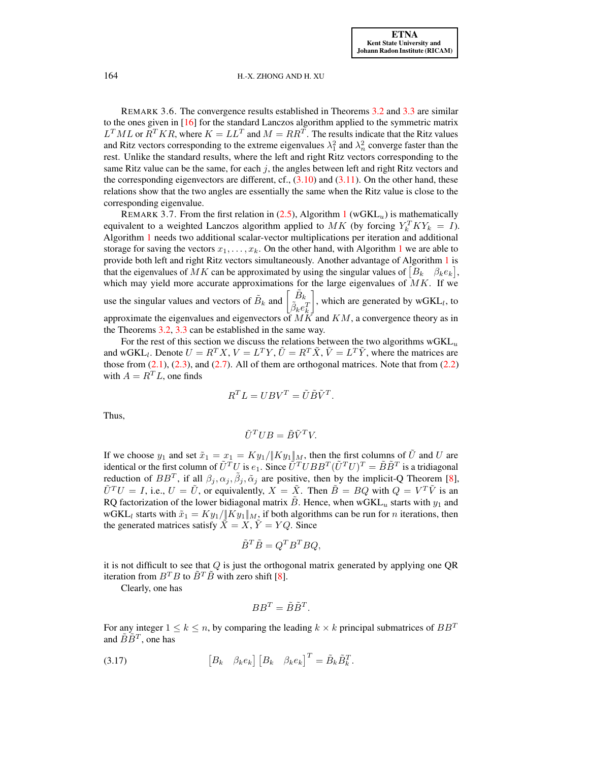REMARK 3.6. The convergence results established in Theorems [3.2](#page-6-2) and [3.3](#page-9-3) are similar to the ones given in [\[16\]](#page-25-12) for the standard Lanczos algorithm applied to the symmetric matrix  $L^T M L$  or  $R^T K R$ , where  $K = L L^T$  and  $M = R R^T$ . The results indicate that the Ritz values and Ritz vectors corresponding to the extreme eigenvalues  $\lambda_1^2$  and  $\lambda_n^2$  converge faster than the rest. Unlike the standard results, where the left and right Ritz vectors corresponding to the same Ritz value can be the same, for each  $j$ , the angles between left and right Ritz vectors and the corresponding eigenvectors are different, cf.,  $(3.10)$  and  $(3.11)$ . On the other hand, these relations show that the two angles are essentially the same when the Ritz value is close to the corresponding eigenvalue.

REMARK 3.7. From the first relation in  $(2.5)$ , Algorithm [1](#page-3-0) (wGKL<sub>u</sub>) is mathematically equivalent to a weighted Lanczos algorithm applied to  $MK$  (by forcing  $Y_k^T K Y_k = I$ ). Algorithm [1](#page-3-0) needs two additional scalar-vector multiplications per iteration and additional storage for saving the vectors  $x_1, \ldots, x_k$  $x_1, \ldots, x_k$  $x_1, \ldots, x_k$ . On the other hand, with Algorithm 1 we are able to provide both left and right Ritz vectors simultaneously. Another advantage of Algorithm [1](#page-3-0) is that the eigenvalues of MK can be approximated by using the singular values of  $[B_k \quad \beta_k e_k]$ , which may yield more accurate approximations for the large eigenvalues of  $MK$ . If we use the singular values and vectors of  $\tilde{B}_k$  and  $\begin{bmatrix} \tilde{B}_k \\ \tilde{\beta}_k e_k^T \end{bmatrix}$ , which are generated by  $wGKL_{l}$ , to approximate the eigenvalues and eigenvectors of  $M\ddot{K}$  and  $KM$ , a convergence theory as in the Theorems [3.2,](#page-6-2) [3.3](#page-9-3) can be established in the same way.

For the rest of this section we discuss the relations between the two algorithms  $wGKL_u$ and wGKL<sub>l</sub>. Denote  $U = R^T X$ ,  $V = L^T Y$ ,  $\tilde{U} = R^T \tilde{X}$ ,  $\tilde{V} = L^T \tilde{Y}$ , where the matrices are those from  $(2.1)$ ,  $(2.3)$ , and  $(2.7)$ . All of them are orthogonal matrices. Note that from  $(2.2)$ with  $A = R<sup>T</sup>L$ , one finds

$$
R^T L = U B V^T = \tilde{U} \tilde{B} \tilde{V}^T.
$$

Thus,

$$
\tilde{U}^T U B = \tilde{B} \tilde{V}^T V.
$$

If we choose  $y_1$  and set  $\tilde{x}_1 = x_1 = Ky_1/||Ky_1||_M$ , then the first columns of  $\tilde{U}$  and U are identical or the first column of  $\tilde{U}^TU$  is  $e_1$ . Since  $\tilde{U}^TUBB^T(\tilde{U}^TU)^T = \tilde{B}\tilde{B}^T$  is a tridiagonal reduction of  $BB^T$ , if all  $\beta_j, \alpha_j, \tilde{\beta}_j, \tilde{\alpha}_j$  are positive, then by the implicit-Q Theorem [\[8\]](#page-25-10),  $\tilde{U}^T U = I$ , i.e.,  $U = \tilde{U}$ , or equivalently,  $X = \tilde{X}$ . Then  $\tilde{B} = BQ$  with  $Q = V^T \tilde{V}$  is an RQ factorization of the lower bidiagonal matrix  $\ddot{B}$ . Hence, when wGKL<sub>u</sub> starts with  $y_1$  and wGKL<sub>l</sub> starts with  $\tilde{x}_1 = Ky_1 / ||Ky_1||_M$ , if both algorithms can be run for *n* iterations, then the generated matrices satisfy  $\ddot{X} = X$ ,  $\ddot{Y} = YQ$ . Since

$$
\tilde{B}^T \tilde{B} = Q^T B^T B Q,
$$

it is not difficult to see that  $Q$  is just the orthogonal matrix generated by applying one  $QR$ iteration from  $B^T B$  to  $\tilde{B}^T \tilde{B}$  with zero shift [\[8\]](#page-25-10).

<span id="page-11-0"></span>Clearly, one has

$$
BB^T = \tilde{B}\tilde{B}^T.
$$

For any integer  $1 \leq k \leq n$ , by comparing the leading  $k \times k$  principal submatrices of  $BB^T$ and  $\tilde{B}\tilde{B}^T$ , one has

(3.17) 
$$
\begin{bmatrix} B_k & \beta_k e_k \end{bmatrix} \begin{bmatrix} B_k & \beta_k e_k \end{bmatrix}^T = \tilde{B}_k \tilde{B}_k^T.
$$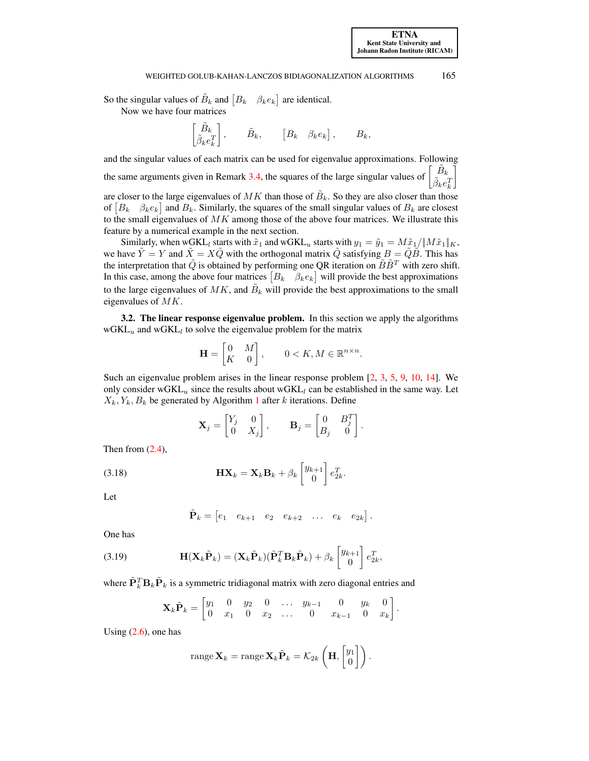So the singular values of  $\tilde{B}_k$  and  $[B_k \quad \beta_k e_k]$  are identical.

Now we have four matrices

$$
\begin{bmatrix} \tilde{B}_k \\ \tilde{\beta}_k e_k^T \end{bmatrix}, \qquad \tilde{B}_k, \qquad \begin{bmatrix} B_k & \beta_k e_k \end{bmatrix}, \qquad B_k,
$$

and the singular values of each matrix can be used for eigenvalue approximations. Following the same arguments given in Remark [3.4,](#page-10-0) the squares of the large singular values of  $\tilde{B}_k$  $\tilde{\beta}_k e_k^T$ 1 are closer to the large eigenvalues of  $MK$  than those of  $\tilde{B}_k$ . So they are also closer than those

of  $[B_k \quad \beta_k e_k]$  and  $B_k$ . Similarly, the squares of the small singular values of  $B_k$  are closest to the small eigenvalues of  $MK$  among those of the above four matrices. We illustrate this feature by a numerical example in the next section.

Similarly, when wGKL<sub>l</sub> starts with  $\tilde{x}_1$  and wGKL<sub>u</sub> starts with  $y_1 = \tilde{y}_1 = M\tilde{x}_1/\Vert M\tilde{x}_1\Vert_K$ , we have  $\hat{Y} = Y$  and  $\hat{X} = X\hat{Q}$  with the orthogonal matrix  $\hat{Q}$  satisfying  $B = \hat{Q}\hat{B}$ . This has the interpretation that  $\tilde{Q}$  is obtained by performing one QR iteration on  $\tilde{B}\tilde{B}^T$  with zero shift. In this case, among the above four matrices  $[B_k \quad \beta_k e_k]$  will provide the best approximations to the large eigenvalues of  $MK$ , and  $\tilde{B}_k$  will provide the best approximations to the small eigenvalues of MK.

3.2. The linear response eigenvalue problem. In this section we apply the algorithms  $wGKL_u$  and  $wGKL_l$  to solve the eigenvalue problem for the matrix

$$
\mathbf{H} = \begin{bmatrix} 0 & M \\ K & 0 \end{bmatrix}, \qquad 0 < K, M \in \mathbb{R}^{n \times n}.
$$

Such an eigenvalue problem arises in the linear response problem [\[2,](#page-25-13) [3,](#page-25-14) [5,](#page-25-5) [9,](#page-25-6) [10,](#page-25-7) [14\]](#page-25-8). We only consider wGKL<sub>u</sub> since the results about wGKL<sub>l</sub> can be established in the same way. Let  $X_k, Y_k, B_k$  be generated by Algorithm [1](#page-3-0) after k iterations. Define

<span id="page-12-0"></span>
$$
\mathbf{X}_{j} = \begin{bmatrix} Y_{j} & 0 \\ 0 & X_{j} \end{bmatrix}, \quad \mathbf{B}_{j} = \begin{bmatrix} 0 & B_{j}^{T} \\ B_{j} & 0 \end{bmatrix}
$$

.

Then from  $(2.4)$ ,

(3.18) 
$$
\mathbf{H} \mathbf{X}_k = \mathbf{X}_k \mathbf{B}_k + \beta_k \begin{bmatrix} y_{k+1} \\ 0 \end{bmatrix} e_{2k}^T.
$$

Let

$$
\tilde{\mathbf{P}}_k = \begin{bmatrix} e_1 & e_{k+1} & e_2 & e_{k+2} & \dots & e_k & e_{2k} \end{bmatrix}.
$$

<span id="page-12-1"></span>One has

(3.19) 
$$
\mathbf{H}(\mathbf{X}_{k}\tilde{\mathbf{P}}_{k}) = (\mathbf{X}_{k}\tilde{\mathbf{P}}_{k})(\tilde{\mathbf{P}}_{k}^{T}\mathbf{B}_{k}\tilde{\mathbf{P}}_{k}) + \beta_{k} \begin{bmatrix} y_{k+1} \\ 0 \end{bmatrix} e_{2k}^{T},
$$

where  $\tilde{\mathbf{P}}_k^T \mathbf{B}_k \tilde{\mathbf{P}}_k$  is a symmetric tridiagonal matrix with zero diagonal entries and

$$
\mathbf{X}_{k}\tilde{\mathbf{P}}_{k} = \begin{bmatrix} y_{1} & 0 & y_{2} & 0 & \dots & y_{k-1} & 0 & y_{k} & 0 \\ 0 & x_{1} & 0 & x_{2} & \dots & 0 & x_{k-1} & 0 & x_{k} \end{bmatrix}.
$$

Using  $(2.6)$ , one has

range 
$$
\mathbf{X}_k
$$
 = range  $\mathbf{X}_k \tilde{\mathbf{P}}_k = \mathcal{K}_{2k} \left( \mathbf{H}, \begin{bmatrix} y_1 \\ 0 \end{bmatrix} \right)$ .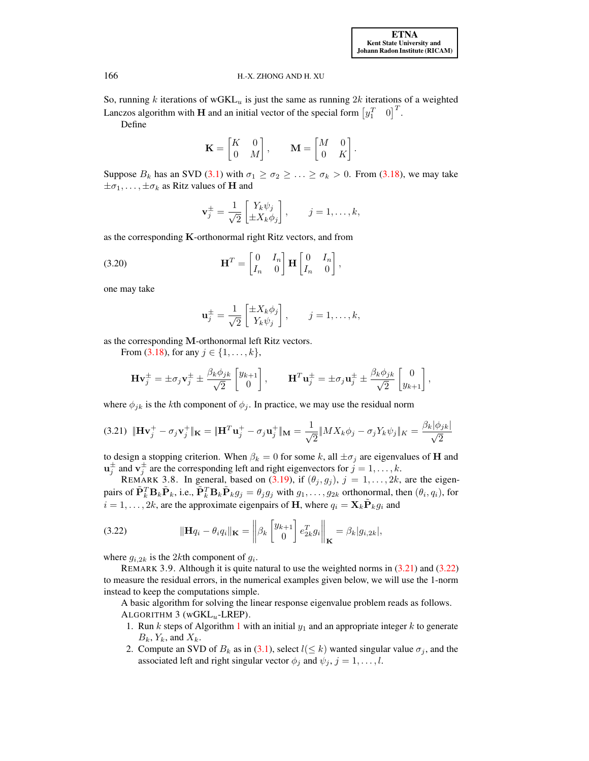So, running k iterations of wGKL<sub>u</sub> is just the same as running  $2k$  iterations of a weighted Lanczos algorithm with **H** and an initial vector of the special form  $\begin{bmatrix} y_1^T & 0 \end{bmatrix}^T$ . Define

$$
\mathbf{K} = \begin{bmatrix} K & 0 \\ 0 & M \end{bmatrix}, \qquad \mathbf{M} = \begin{bmatrix} M & 0 \\ 0 & K \end{bmatrix}.
$$

Suppose  $B_k$  has an SVD [\(3.1\)](#page-5-2) with  $\sigma_1 \ge \sigma_2 \ge \ldots \ge \sigma_k > 0$ . From [\(3.18\)](#page-12-0), we may take  $\pm \sigma_1, \ldots, \pm \sigma_k$  as Ritz values of **H** and

<span id="page-13-2"></span>
$$
\mathbf{v}_j^{\pm} = \frac{1}{\sqrt{2}} \begin{bmatrix} Y_k \psi_j \\ \pm X_k \phi_j \end{bmatrix}, \qquad j = 1, \dots, k,
$$

as the corresponding  $K$ -orthonormal right Ritz vectors, and from

(3.20) 
$$
\mathbf{H}^T = \begin{bmatrix} 0 & I_n \\ I_n & 0 \end{bmatrix} \mathbf{H} \begin{bmatrix} 0 & I_n \\ I_n & 0 \end{bmatrix},
$$

one may take

<span id="page-13-1"></span><span id="page-13-0"></span>
$$
\mathbf{u}_j^{\pm} = \frac{1}{\sqrt{2}} \begin{bmatrix} \pm X_k \phi_j \\ Y_k \psi_j \end{bmatrix}, \qquad j = 1, \dots, k,
$$

as the corresponding M-orthonormal left Ritz vectors.

From [\(3.18\)](#page-12-0), for any  $j \in \{1, ..., k\}$ ,

$$
\mathbf{H}\mathbf{v}_j^{\pm} = \pm \sigma_j \mathbf{v}_j^{\pm} \pm \frac{\beta_k \phi_{jk}}{\sqrt{2}} \begin{bmatrix} y_{k+1} \\ 0 \end{bmatrix}, \qquad \mathbf{H}^T \mathbf{u}_j^{\pm} = \pm \sigma_j \mathbf{u}_j^{\pm} \pm \frac{\beta_k \phi_{jk}}{\sqrt{2}} \begin{bmatrix} 0 \\ y_{k+1} \end{bmatrix},
$$

where  $\phi_{jk}$  is the kth component of  $\phi_j$ . In practice, we may use the residual norm

$$
(3.21)\ \|\mathbf{H}\mathbf{v}_j^+ - \sigma_j \mathbf{v}_j^+\|_{\mathbf{K}} = \|\mathbf{H}^T\mathbf{u}_j^+ - \sigma_j \mathbf{u}_j^+\|_{\mathbf{M}} = \frac{1}{\sqrt{2}}\|MX_k\phi_j - \sigma_j Y_k\psi_j\|_{K} = \frac{\beta_k|\phi_{jk}|}{\sqrt{2}}
$$

to design a stopping criterion. When  $\beta_k = 0$  for some k, all  $\pm \sigma_j$  are eigenvalues of **H** and  $\mathbf{u}_j^{\pm}$  and  $\mathbf{v}_j^{\pm}$  are the corresponding left and right eigenvectors for  $j = 1, \dots, k$ .

REMARK 3.8. In general, based on [\(3.19\)](#page-12-1), if  $(\theta_j, g_j)$ ,  $j = 1, \ldots, 2k$ , are the eigenpairs of  $\tilde{\mathbf{P}}_k^T \mathbf{B}_k \tilde{\mathbf{P}}_k$ , i.e.,  $\tilde{\mathbf{P}}_k^T \mathbf{B}_k \tilde{\mathbf{P}}_k g_j = \theta_j g_j$  with  $g_1, \ldots, g_{2k}$  orthonormal, then  $(\theta_i, q_i)$ , for  $i = 1, \ldots, 2k$ , are the approximate eigenpairs of H, where  $q_i = \mathbf{X}_k \tilde{\mathbf{P}}_k q_i$  and

(3.22) 
$$
\|\mathbf{H}q_i - \theta_i q_i\|_{\mathbf{K}} = \left\|\beta_k \begin{bmatrix} y_{k+1} \\ 0 \end{bmatrix} e_{2k}^T g_i \right\|_{\mathbf{K}} = \beta_k |g_{i,2k}|,
$$

where  $g_{i,2k}$  is the 2kth component of  $g_i$ .

REMARK 3.9. Although it is quite natural to use the weighted norms in [\(3.21\)](#page-13-0) and [\(3.22\)](#page-13-1) to measure the residual errors, in the numerical examples given below, we will use the 1-norm instead to keep the computations simple.

<span id="page-13-3"></span>A basic algorithm for solving the linear response eigenvalue problem reads as follows. ALGORITHM  $3$  (wGKL<sub>u</sub>-LREP).

- [1](#page-3-0). Run k steps of Algorithm 1 with an initial  $y_1$  and an appropriate integer k to generate  $B_k$ ,  $Y_k$ , and  $X_k$ .
- 2. Compute an SVD of  $B_k$  as in [\(3.1\)](#page-5-2), select  $l(\leq k)$  wanted singular value  $\sigma_j$ , and the associated left and right singular vector  $\phi_j$  and  $\psi_j$ ,  $j = 1, \ldots, l$ .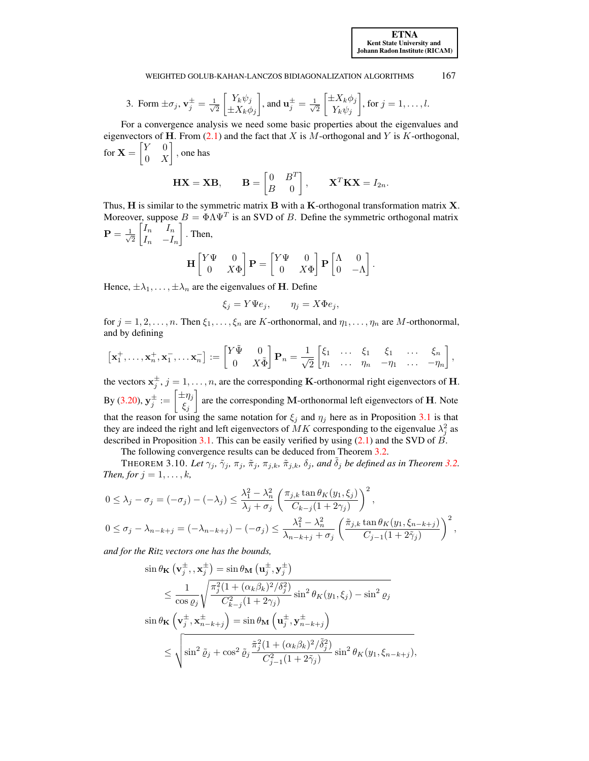3. Form  $\pm \sigma_j$ ,  $\mathbf{v}_j^{\pm} = \frac{1}{\sqrt{3}}$ 2  $\lceil Y_k \psi_j \rceil$  $\pm X_k \phi_j$  $\Big]$ , and  $\mathbf{u}_j^{\pm} = \frac{1}{\sqrt{3}}$ 2  $\left[\pm X_k\phi_j\right]$  $Y_k \psi_j$ , for  $j = 1, \ldots, l$ .

For a convergence analysis we need some basic properties about the eigenvalues and eigenvectors of H. From  $(2.1)$  and the fact that X is M-orthogonal and Y is K-orthogonal, for  $\mathbf{X} = \begin{bmatrix} Y & 0 \\ 0 & Y \end{bmatrix}$  $0 X$ , one has

$$
\mathbf{H}\mathbf{X} = \mathbf{X}\mathbf{B}, \qquad \mathbf{B} = \begin{bmatrix} 0 & B^T \\ B & 0 \end{bmatrix}, \qquad \mathbf{X}^T \mathbf{K} \mathbf{X} = I_{2n}.
$$

Thus, H is similar to the symmetric matrix B with a K-orthogonal transformation matrix X. Moreover, suppose  $B = \Phi \Lambda \Psi^T$  is an SVD of B. Define the symmetric orthogonal matrix  ${\bf P} = \frac{-1}{\sqrt{2}}$ 2  $\begin{bmatrix} I_n & I_n \end{bmatrix}$  $I_n$  – $I_n$  $\big]$ . Then,

$$
\mathbf{H} \begin{bmatrix} Y\Psi & 0 \\ 0 & X\Phi \end{bmatrix} \mathbf{P} = \begin{bmatrix} Y\Psi & 0 \\ 0 & X\Phi \end{bmatrix} \mathbf{P} \begin{bmatrix} \Lambda & 0 \\ 0 & -\Lambda \end{bmatrix}.
$$

Hence,  $\pm \lambda_1, \ldots, \pm \lambda_n$  are the eigenvalues of **H**. Define

$$
\xi_j = Y \Psi e_j, \qquad \eta_j = X \Phi e_j,
$$

for  $j = 1, 2, ..., n$ . Then  $\xi_1, ..., \xi_n$  are K-orthonormal, and  $\eta_1, ..., \eta_n$  are M-orthonormal, and by defining

$$
\begin{bmatrix} \mathbf{x}_1^+, \ldots, \mathbf{x}_n^+, \mathbf{x}_1^-, \ldots \mathbf{x}_n^- \end{bmatrix} := \begin{bmatrix} Y \tilde{\Psi} & 0 \\ 0 & X \tilde{\Phi} \end{bmatrix} \mathbf{P}_n = \frac{1}{\sqrt{2}} \begin{bmatrix} \xi_1 & \ldots & \xi_1 & \xi_1 & \ldots & \xi_n \\ \eta_1 & \ldots & \eta_n & -\eta_1 & \ldots & -\eta_n \end{bmatrix},
$$

the vectors  $x_j^{\pm}$ ,  $j = 1, ..., n$ , are the corresponding K-orthonormal right eigenvectors of H. By [\(3.20\)](#page-13-2),  $\mathbf{y}_j^{\pm} := \begin{bmatrix} \pm \eta_j \ \epsilon \end{bmatrix}$  $\xi_j$ are the corresponding M-orthonormal left eigenvectors of **H**. Note that the reason for using the same notation for  $\xi_j$  and  $\eta_j$  here as in Proposition [3.1](#page-5-1) is that they are indeed the right and left eigenvectors of  $MK$  corresponding to the eigenvalue  $\lambda_j^2$  as described in Proposition [3.1.](#page-5-1) This can be easily verified by using  $(2.1)$  and the SVD of  $\vec{B}$ .

The following convergence results can be deduced from Theorem [3.2.](#page-6-2)

THEOREM 3.10. *Let*  $\gamma_j$ ,  $\tilde{\gamma}_j$ ,  $\pi_j$ ,  $\tilde{\pi}_j$ ,  $\pi_{j,k}$ ,  $\tilde{\pi}_{j,k}$ ,  $\delta_j$ , and  $\delta_j$  *be defined as in Theorem [3.2.](#page-6-2) Then, for*  $j = 1, \ldots, k$ *,* 

$$
0 \leq \lambda_j - \sigma_j = (-\sigma_j) - (-\lambda_j) \leq \frac{\lambda_1^2 - \lambda_n^2}{\lambda_j + \sigma_j} \left( \frac{\pi_{j,k} \tan \theta_K(y_1, \xi_j)}{C_{k-j}(1 + 2\gamma_j)} \right)^2,
$$
  

$$
0 \leq \sigma_j - \lambda_{n-k+j} = (-\lambda_{n-k+j}) - (-\sigma_j) \leq \frac{\lambda_1^2 - \lambda_n^2}{\lambda_{n-k+j} + \sigma_j} \left( \frac{\tilde{\pi}_{j,k} \tan \theta_K(y_1, \xi_{n-k+j})}{C_{j-1}(1 + 2\tilde{\gamma}_j)} \right)^2,
$$

*and for the Ritz vectors one has the bounds,*

$$
\sin \theta_{\mathbf{K}} (\mathbf{v}_j^{\pm}, \mathbf{x}_j^{\pm}) = \sin \theta_{\mathbf{M}} (\mathbf{u}_j^{\pm}, \mathbf{y}_j^{\pm})
$$
\n
$$
\leq \frac{1}{\cos \varrho_j} \sqrt{\frac{\pi_j^2 (1 + (\alpha_k \beta_k)^2 / \delta_j^2)}{C_{k-j}^2 (1 + 2\gamma_j)}} \sin^2 \theta_K (y_1, \xi_j) - \sin^2 \varrho_j
$$
\n
$$
\sin \theta_{\mathbf{K}} (\mathbf{v}_j^{\pm}, \mathbf{x}_{n-k+j}^{\pm}) = \sin \theta_{\mathbf{M}} (\mathbf{u}_j^{\pm}, \mathbf{y}_{n-k+j}^{\pm})
$$
\n
$$
\leq \sqrt{\sin^2 \tilde{\varrho}_j + \cos^2 \tilde{\varrho}_j \frac{\tilde{\pi}_j^2 (1 + (\alpha_k \beta_k)^2 / \tilde{\delta}_j^2)}{C_{j-1}^2 (1 + 2\tilde{\gamma}_j)}} \sin^2 \theta_K (y_1, \xi_{n-k+j}),
$$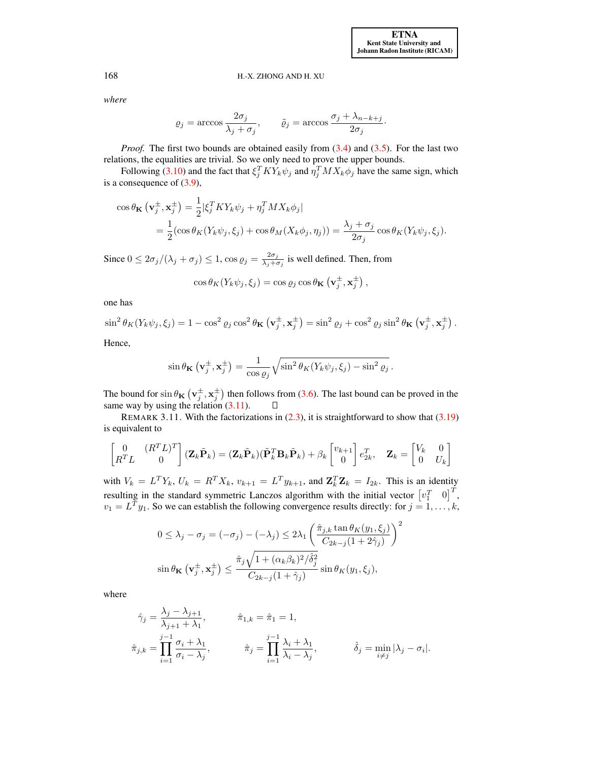*where*

$$
\varrho_j = \arccos \frac{2\sigma_j}{\lambda_j + \sigma_j}, \qquad \tilde{\varrho}_j = \arccos \frac{\sigma_j + \lambda_{n-k+j}}{2\sigma_j}.
$$

*Proof.* The first two bounds are obtained easily from  $(3.4)$  and  $(3.5)$ . For the last two relations, the equalities are trivial. So we only need to prove the upper bounds.

Following [\(3.10\)](#page-8-0) and the fact that  $\xi_j^T K Y_k \psi_j$  and  $\eta_j^T M X_k \phi_j$  have the same sign, which is a consequence of [\(3.9\)](#page-8-3),

$$
\cos \theta_{\mathbf{K}} \left( \mathbf{v}_j^{\pm}, \mathbf{x}_j^{\pm} \right) = \frac{1}{2} |\xi_j^T K Y_k \psi_j + \eta_j^T M X_k \phi_j|
$$
  
= 
$$
\frac{1}{2} (\cos \theta_K (Y_k \psi_j, \xi_j) + \cos \theta_M (X_k \phi_j, \eta_j)) = \frac{\lambda_j + \sigma_j}{2\sigma_j} \cos \theta_K (Y_k \psi_j, \xi_j).
$$

Since  $0 \le 2\sigma_j/(\lambda_j + \sigma_j) \le 1$ ,  $\cos \varrho_j = \frac{2\sigma_j}{\lambda_j + \sigma_j}$  $\frac{2\sigma_j}{\lambda_j+\sigma_j}$  is well defined. Then, from

$$
\cos \theta_K(Y_k \psi_j, \xi_j) = \cos \varrho_j \cos \theta_{\mathbf{K}} (\mathbf{v}_j^{\pm}, \mathbf{x}_j^{\pm}),
$$

one has

$$
\sin^2 \theta_K(Y_k \psi_j, \xi_j) = 1 - \cos^2 \varrho_j \cos^2 \theta_{\mathbf{K}} \left( \mathbf{v}_j^{\pm}, \mathbf{x}_j^{\pm} \right) = \sin^2 \varrho_j + \cos^2 \varrho_j \sin^2 \theta_{\mathbf{K}} \left( \mathbf{v}_j^{\pm}, \mathbf{x}_j^{\pm} \right).
$$

Hence,

$$
\sin \theta_{\mathbf{K}} \left( \mathbf{v}_j^{\pm}, \mathbf{x}_j^{\pm} \right) = \frac{1}{\cos \varrho_j} \sqrt{\sin^2 \theta_K(Y_k \psi_j, \xi_j) - \sin^2 \varrho_j}.
$$

The bound for  $\sin \theta_{\mathbf{K}} (\mathbf{v}_j^{\pm}, \mathbf{x}_j^{\pm})$  then follows from [\(3.6\)](#page-7-0). The last bound can be proved in the same way by using the relation  $(3.11)$ .  $\Box$ 

REMARK 3.11. With the factorizations in  $(2.3)$ , it is straightforward to show that  $(3.19)$ is equivalent to

$$
\begin{bmatrix} 0 & (R^T L)^T \ R^T L & 0 \end{bmatrix} (\mathbf{Z}_k \tilde{\mathbf{P}}_k) = (\mathbf{Z}_k \tilde{\mathbf{P}}_k)(\tilde{\mathbf{P}}_k^T \mathbf{B}_k \tilde{\mathbf{P}}_k) + \beta_k \begin{bmatrix} v_{k+1} \\ 0 \end{bmatrix} e_{2k}^T, \quad \mathbf{Z}_k = \begin{bmatrix} V_k & 0 \\ 0 & U_k \end{bmatrix}
$$

with  $V_k = L^T Y_k$ ,  $U_k = R^T X_k$ ,  $v_{k+1} = L^T y_{k+1}$ , and  $\mathbf{Z}_k^T \mathbf{Z}_k = I_{2k}$ . This is an identity resulting in the standard symmetric Lanczos algorithm with the initial vector  $\begin{bmatrix} v_1^T & 0 \end{bmatrix}^T$ ,  $v_1 = L^T y_1$ . So we can establish the following convergence results directly: for  $j = 1, ..., k$ ,

$$
0 \leq \lambda_j - \sigma_j = (-\sigma_j) - (-\lambda_j) \leq 2\lambda_1 \left(\frac{\hat{\pi}_{j,k} \tan \theta_K(y_1, \xi_j)}{C_{2k-j}(1+2\hat{\gamma}_j)}\right)^2
$$

$$
\sin \theta_{\mathbf{K}} \left(\mathbf{v}_j^{\pm}, \mathbf{x}_j^{\pm}\right) \leq \frac{\hat{\pi}_j \sqrt{1 + (\alpha_k \beta_k)^2 / \hat{\delta}_j^2}}{C_{2k-j}(1+\hat{\gamma}_j)} \sin \theta_K(y_1, \xi_j),
$$

where

$$
\hat{\gamma}_j = \frac{\lambda_j - \lambda_{j+1}}{\lambda_{j+1} + \lambda_1}, \qquad \hat{\pi}_{1,k} = \hat{\pi}_1 = 1,
$$
  

$$
\hat{\pi}_{j,k} = \prod_{i=1}^{j-1} \frac{\sigma_i + \lambda_1}{\sigma_i - \lambda_j}, \qquad \hat{\pi}_j = \prod_{i=1}^{j-1} \frac{\lambda_i + \lambda_1}{\lambda_i - \lambda_j}, \qquad \hat{\delta}_j = \min_{i \neq j} |\lambda_j - \sigma_i|.
$$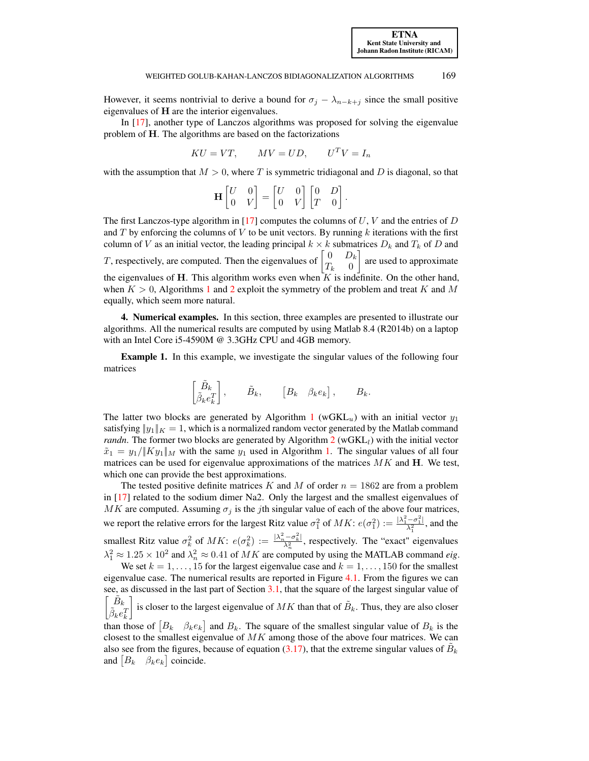However, it seems nontrivial to derive a bound for  $\sigma_j - \lambda_{n-k+j}$  since the small positive eigenvalues of H are the interior eigenvalues.

In [\[17\]](#page-25-15), another type of Lanczos algorithms was proposed for solving the eigenvalue problem of H. The algorithms are based on the factorizations

$$
KU = VT, \qquad MV = UD, \qquad U^T V = I_n
$$

with the assumption that  $M > 0$ , where T is symmetric tridiagonal and D is diagonal, so that

$$
\mathbf{H} \begin{bmatrix} U & 0 \\ 0 & V \end{bmatrix} = \begin{bmatrix} U & 0 \\ 0 & V \end{bmatrix} \begin{bmatrix} 0 & D \\ T & 0 \end{bmatrix}
$$

.

The first Lanczos-type algorithm in [\[17\]](#page-25-15) computes the columns of  $U, V$  and the entries of  $D$ and  $T$  by enforcing the columns of  $V$  to be unit vectors. By running  $k$  iterations with the first column of V as an initial vector, the leading principal  $k \times k$  submatrices  $D_k$  and  $T_k$  of D and T, respectively, are computed. Then the eigenvalues of  $\begin{bmatrix} 0 & D_k \\ T & 0 \end{bmatrix}$  $T_k$  0 are used to approximate the eigenvalues of H. This algorithm works even when  $K$  is indefinite. On the other hand, when  $K > 0$ , Algorithms [1](#page-3-0) and [2](#page-4-0) exploit the symmetry of the problem and treat K and M equally, which seem more natural.

<span id="page-16-0"></span>4. Numerical examples. In this section, three examples are presented to illustrate our algorithms. All the numerical results are computed by using Matlab 8.4 (R2014b) on a laptop with an Intel Core i5-4590M @ 3.3GHz CPU and 4GB memory.

Example 1. In this example, we investigate the singular values of the following four matrices

$$
\begin{bmatrix} \tilde{B}_k \\ \tilde{\beta}_k e_k^T \end{bmatrix}, \qquad \tilde{B}_k, \qquad \begin{bmatrix} B_k & \beta_k e_k \end{bmatrix}, \qquad B_k.
$$

The latter two blocks are generated by Algorithm [1](#page-3-0) (wGKL<sub>u</sub>) with an initial vector  $y_1$ satisfying  $||y_1||_K = 1$ , which is a normalized random vector generated by the Matlab command *randn*. The former two blocks are generated by Algorithm  $2$  (wGKL<sub>l</sub>) with the initial vector  $\tilde{x}_1 = y_1/||Ky_1||_M$  with the same  $y_1$  used in Algorithm [1.](#page-3-0) The singular values of all four matrices can be used for eigenvalue approximations of the matrices  $MK$  and  $H$ . We test, which one can provide the best approximations.

The tested positive definite matrices K and M of order  $n = 1862$  are from a problem in [\[17\]](#page-25-15) related to the sodium dimer Na2. Only the largest and the smallest eigenvalues of MK are computed. Assuming  $\sigma_i$  is the jth singular value of each of the above four matrices, we report the relative errors for the largest Ritz value  $\sigma_1^2$  of  $MK: e(\sigma_1^2) := \frac{|\lambda_1^2 - \sigma_1^2|}{\lambda_1^2}$  $\frac{-\sigma_1}{\lambda_1^2}$ , and the smallest Ritz value  $\sigma_k^2$  of  $MK: e(\sigma_k^2) := \frac{|\lambda_n^2 - \sigma_k^2|}{\lambda_n^2}$  $\frac{\lambda_1 - \sigma_k}{\lambda_n^2}$ , respectively. The "exact" eigenvalues  $\lambda_1^2 \approx 1.25 \times 10^2$  and  $\lambda_n^2 \approx 0.41$  of MK are computed by using the MATLAB command *eig*.

We set  $k = 1, \ldots, 15$  for the largest eigenvalue case and  $k = 1, \ldots, 150$  for the smallest eigenvalue case. The numerical results are reported in Figure [4.1.](#page-17-0) From the figures we can see, as discussed in the last part of Section [3.1,](#page-5-4) that the square of the largest singular value of  $\left[ \begin{matrix} \tilde{B}_k \\ \tilde{\beta}_k e_k^T \end{matrix} \right]$ is closer to the largest eigenvalue of MK than that of  $\tilde{B}_k$ . Thus, they are also closer than those of  $[B_k \quad \beta_k e_k]$  and  $B_k$ . The square of the smallest singular value of  $B_k$  is the closest to the smallest eigenvalue of  $MK$  among those of the above four matrices. We can also see from the figures, because of equation [\(3.17\)](#page-11-0), that the extreme singular values of  $\tilde{B}_k$ and  $[B_k \quad \beta_k e_k]$  coincide.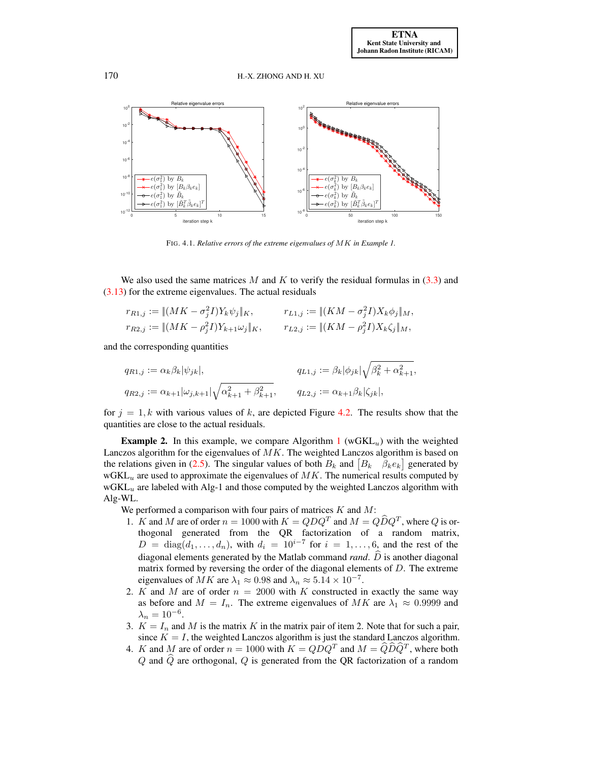

<span id="page-17-0"></span>FIG. 4.1. *Relative errors of the extreme eigenvalues of* MK *in Example 1.*

We also used the same matrices M and K to verify the residual formulas in  $(3.3)$  and [\(3.13\)](#page-8-4) for the extreme eigenvalues. The actual residuals

$$
r_{R1,j} := \|(MK - \sigma_j^2 I)Y_k \psi_j\|_K, \qquad r_{L1,j} := \|(KM - \sigma_j^2 I)X_k \phi_j\|_M,
$$
  
\n
$$
r_{R2,j} := \|(MK - \rho_j^2 I)Y_{k+1} \omega_j\|_K, \qquad r_{L2,j} := \|(KM - \rho_j^2 I)X_k \zeta_j\|_M,
$$

and the corresponding quantities

$$
q_{R1,j} := \alpha_k \beta_k |\psi_{jk}|, \qquad q_{L1,j} := \beta_k |\phi_{jk}| \sqrt{\beta_k^2 + \alpha_{k+1}^2},
$$
  

$$
q_{R2,j} := \alpha_{k+1} |\omega_{j,k+1}| \sqrt{\alpha_{k+1}^2 + \beta_{k+1}^2}, \qquad q_{L2,j} := \alpha_{k+1} \beta_k |\zeta_{jk}|,
$$

for  $j = 1, k$  with various values of k, are depicted Figure [4.2.](#page-18-0) The results show that the quantities are close to the actual residuals.

**Example 2.** In this example, we compare Algorithm [1](#page-3-0) (wGKL<sub>u</sub>) with the weighted Lanczos algorithm for the eigenvalues of  $MK$ . The weighted Lanczos algorithm is based on the relations given in [\(2.5\)](#page-3-2). The singular values of both  $B_k$  and  $\begin{bmatrix} B_k & \beta_k e_k \end{bmatrix}$  generated by  $wGKL_u$  are used to approximate the eigenvalues of  $MK$ . The numerical results computed by  $wGKL_u$  are labeled with Alg-1 and those computed by the weighted Lanczos algorithm with Alg-WL.

We performed a comparison with four pairs of matrices  $K$  and  $M$ :

- 1. K and M are of order  $n = 1000$  with  $K = QDQ^T$  and  $M = QDQ^T$ , where Q is orthogonal generated from the QR factorization of a random matrix,  $D = \text{diag}(d_1, \ldots, d_n)$ , with  $d_i = 10^{i-7}$  for  $i = 1, \ldots, 6$ , and the rest of the diagonal elements generated by the Matlab command *rand*.  $\widehat{D}$  is another diagonal matrix formed by reversing the order of the diagonal elements of D. The extreme eigenvalues of  $MK$  are  $\lambda_1 \approx 0.98$  and  $\lambda_n \approx 5.14 \times 10^{-7}$ .
- 2. K and M are of order  $n = 2000$  with K constructed in exactly the same way as before and  $M = I_n$ . The extreme eigenvalues of MK are  $\lambda_1 \approx 0.9999$  and  $\lambda_n = 10^{-6}.$
- 3.  $K = I_n$  and M is the matrix K in the matrix pair of item 2. Note that for such a pair, since  $K = I$ , the weighted Lanczos algorithm is just the standard Lanczos algorithm.
- 4. K and M are of order  $n = 1000$  with  $K = QDQ^T$  and  $M = \widehat{Q}\widehat{D}\widehat{Q}^T$ , where both  $Q$  and  $\hat{Q}$  are orthogonal,  $Q$  is generated from the QR factorization of a random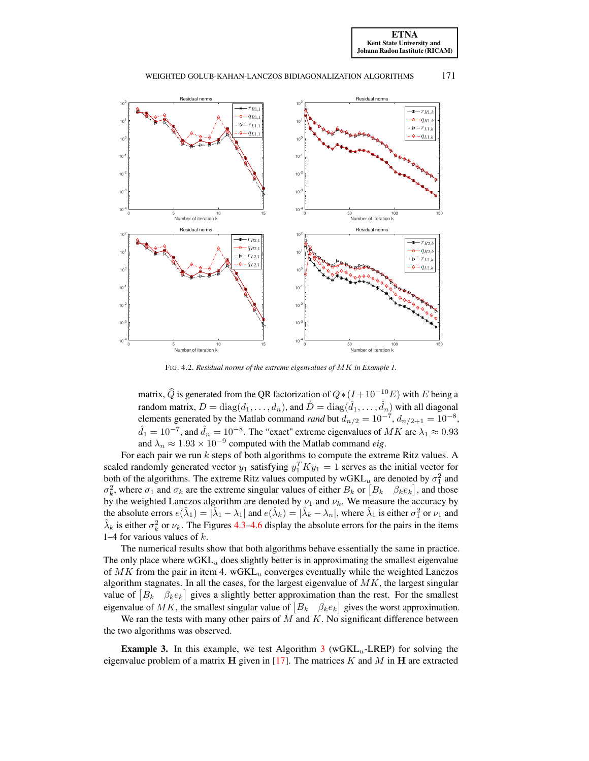[ETNA](http://etna.ricam.oeaw.ac.at) [Kent State University and](http://www.kent.edu) [Johann Radon Institute \(RICAM\)](http://www.ricam.oeaw.ac.at)



WEIGHTED GOLUB-KAHAN-LANCZOS BIDIAGONALIZATION ALGORITHMS 171

<span id="page-18-0"></span>FIG. 4.2. *Residual norms of the extreme eigenvalues of* MK *in Example 1.*

matrix,  $\widehat{Q}$  is generated from the QR factorization of  $Q*(I + 10^{-10}E)$  with E being a random matrix,  $D=\text{diag}(d_1,\ldots,d_n)$ , and  $\hat{D}=\text{diag}(\hat{d}_1,\ldots,\hat{d}_n)$  with all diagonal elements generated by the Matlab command *rand* but  $d_{n/2} = 10^{-7}$ ,  $d_{n/2+1} = 10^{-8}$ ,  $\hat{d}_1 = 10^{-7}$ , and  $\hat{d}_n = 10^{-8}$ . The "exact" extreme eigenvalues of  $MK$  are  $\lambda_1 \approx 0.93$ and  $\lambda_n \approx 1.93 \times 10^{-9}$  computed with the Matlab command *eig*.

For each pair we run k steps of both algorithms to compute the extreme Ritz values. A scaled randomly generated vector  $y_1$  satisfying  $y_1^T K y_1 = 1$  serves as the initial vector for both of the algorithms. The extreme Ritz values computed by  $wGKL_u$  are denoted by  $\sigma_1^2$  and  $\sigma_k^2$ , where  $\sigma_1$  and  $\sigma_k$  are the extreme singular values of either  $B_k$  or  $[B_k \quad \beta_k e_k]$ , and those by the weighted Lanczos algorithm are denoted by  $\nu_1$  and  $\nu_k$ . We measure the accuracy by the absolute errors  $e(\hat{\lambda}_1) = |\hat{\lambda}_1 - \lambda_1|$  and  $e(\hat{\lambda}_k) = |\hat{\lambda}_k - \lambda_n|$ , where  $\hat{\lambda}_1$  is either  $\sigma_1^2$  or  $\nu_1$  and  $\hat{\lambda}_k$  is either  $\sigma_k^2$  or  $\nu_k$ . The Figures [4.3–](#page-19-0)[4.6](#page-20-1) display the absolute errors for the pairs in the items 1–4 for various values of  $k$ .

The numerical results show that both algorithms behave essentially the same in practice. The only place where  $wGKL_u$  does slightly better is in approximating the smallest eigenvalue of  $MK$  from the pair in item 4. wGKL $<sub>u</sub>$  converges eventually while the weighted Lanczos</sub> algorithm stagnates. In all the cases, for the largest eigenvalue of  $MK$ , the largest singular value of  $[B_k \quad \beta_k e_k]$  gives a slightly better approximation than the rest. For the smallest eigenvalue of MK, the smallest singular value of  $[B_k \quad \beta_k e_k]$  gives the worst approximation.

We ran the tests with many other pairs of  $M$  and  $K$ . No significant difference between the two algorithms was observed.

**Example [3](#page-13-3).** In this example, we test Algorithm  $3$  (wGKL<sub>u</sub>-LREP) for solving the eigenvalue problem of a matrix H given in [\[17\]](#page-25-15). The matrices  $K$  and  $M$  in H are extracted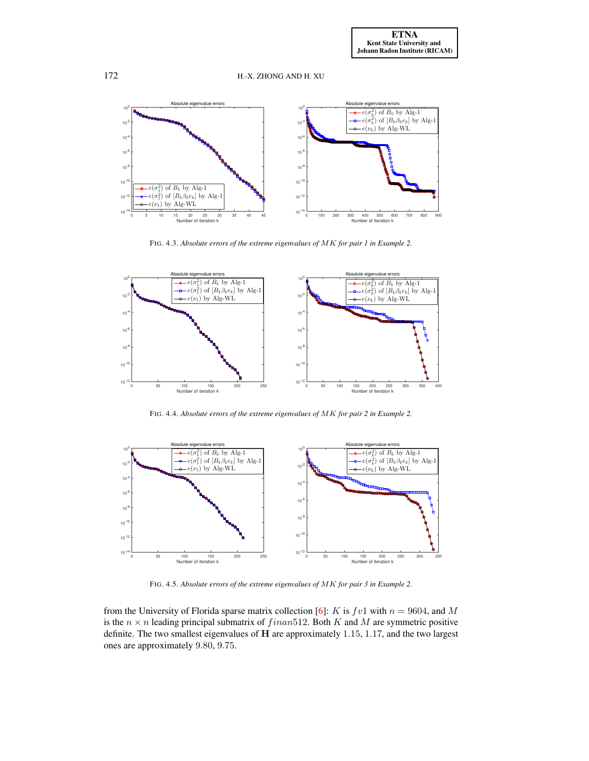

<span id="page-19-0"></span>FIG. 4.3. *Absolute errors of the extreme eigenvalues of* MK *for pair 1 in Example 2.*



FIG. 4.4. *Absolute errors of the extreme eigenvalues of* MK *for pair 2 in Example 2.*



FIG. 4.5. *Absolute errors of the extreme eigenvalues of* MK *for pair 3 in Example 2.*

from the University of Florida sparse matrix collection [\[6\]](#page-25-16): K is  $fv1$  with  $n = 9604$ , and M is the  $n \times n$  leading principal submatrix of  $f in an 512$ . Both K and M are symmetric positive definite. The two smallest eigenvalues of H are approximately 1.15, 1.17, and the two largest ones are approximately 9.80, 9.75.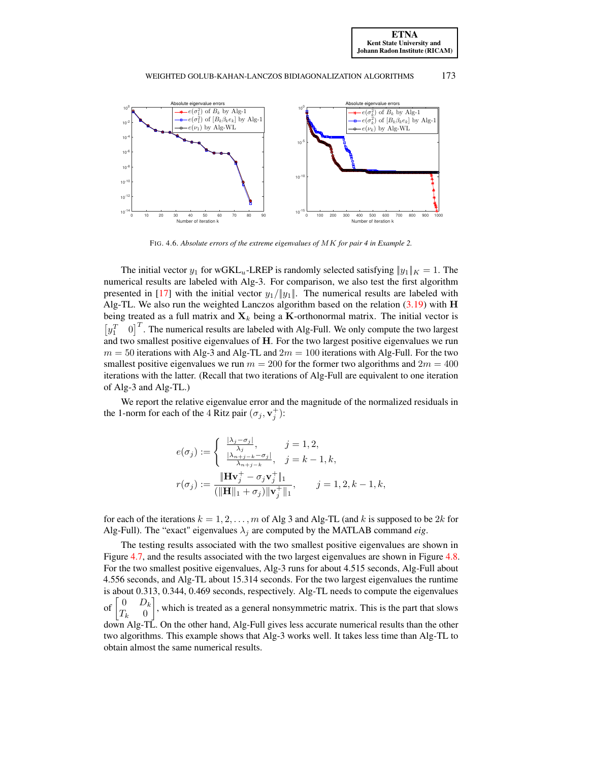[ETNA](http://etna.ricam.oeaw.ac.at) [Kent State University and](http://www.kent.edu) [Johann Radon Institute \(RICAM\)](http://www.ricam.oeaw.ac.at)

#### WEIGHTED GOLUB-KAHAN-LANCZOS BIDIAGONALIZATION ALGORITHMS 173



<span id="page-20-1"></span>FIG. 4.6. *Absolute errors of the extreme eigenvalues of* MK *for pair 4 in Example 2.*

The initial vector  $y_1$  for wGKL<sub>u</sub>-LREP is randomly selected satisfying  $|y_1||_K = 1$ . The numerical results are labeled with Alg-3. For comparison, we also test the first algorithm presented in [\[17\]](#page-25-15) with the initial vector  $y_1/||y_1||$ . The numerical results are labeled with Alg-TL. We also run the weighted Lanczos algorithm based on the relation  $(3.19)$  with H being treated as a full matrix and  $\mathbf{X}_k$  being a K-orthonormal matrix. The initial vector is  $\begin{bmatrix} y_1^T & 0 \end{bmatrix}$  $\int_0^T$ . The numerical results are labeled with Alg-Full. We only compute the two largest and two smallest positive eigenvalues of H. For the two largest positive eigenvalues we run  $m = 50$  iterations with Alg-3 and Alg-TL and  $2m = 100$  iterations with Alg-Full. For the two smallest positive eigenvalues we run  $m = 200$  for the former two algorithms and  $2m = 400$ iterations with the latter. (Recall that two iterations of Alg-Full are equivalent to one iteration of Alg-3 and Alg-TL.)

We report the relative eigenvalue error and the magnitude of the normalized residuals in the 1-norm for each of the 4 Ritz pair  $(\sigma_j, \mathbf{v}_j^+)$ :

$$
e(\sigma_j) := \begin{cases} \frac{|\lambda_j - \sigma_j|}{\lambda_j}, & j = 1, 2, \\ \frac{|\lambda_{n+j-k} - \sigma_j|}{\lambda_{n+j-k}}, & j = k - 1, k, \end{cases}
$$

$$
r(\sigma_j) := \frac{\|\mathbf{H} \mathbf{v}_j^+ - \sigma_j \mathbf{v}_j^+\|_1}{(\|\mathbf{H}\|_1 + \sigma_j) \|\mathbf{v}_j^+\|_1}, \qquad j = 1, 2, k - 1, k,
$$

for each of the iterations  $k = 1, 2, \dots, m$  of Alg 3 and Alg-TL (and k is supposed to be 2k for Alg-Full). The "exact" eigenvalues  $\lambda_i$  are computed by the MATLAB command *eig*.

<span id="page-20-0"></span>The testing results associated with the two smallest positive eigenvalues are shown in Figure [4.7,](#page-21-0) and the results associated with the two largest eigenvalues are shown in Figure [4.8.](#page-21-1) For the two smallest positive eigenvalues, Alg-3 runs for about 4.515 seconds, Alg-Full about 4.556 seconds, and Alg-TL about 15.314 seconds. For the two largest eigenvalues the runtime is about 0.313, 0.344, 0.469 seconds, respectively. Alg-TL needs to compute the eigenvalues of  $0$   $D_k$  $T_k$  0 , which is treated as a general nonsymmetric matrix. This is the part that slows down Alg-TL. On the other hand, Alg-Full gives less accurate numerical results than the other two algorithms. This example shows that Alg-3 works well. It takes less time than Alg-TL to obtain almost the same numerical results.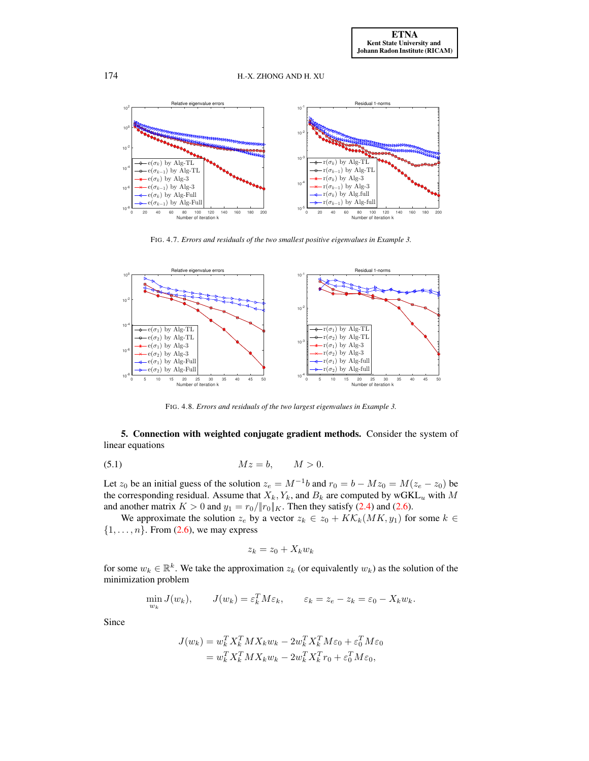

<span id="page-21-0"></span>FIG. 4.7. *Errors and residuals of the two smallest positive eigenvalues in Example 3.*



<span id="page-21-2"></span><span id="page-21-1"></span>FIG. 4.8. *Errors and residuals of the two largest eigenvalues in Example 3.*

5. Connection with weighted conjugate gradient methods. Consider the system of linear equations

$$
(5.1) \t\t\t Mz = b, \t\t M > 0.
$$

Let  $z_0$  be an initial guess of the solution  $z_e = M^{-1}b$  and  $r_0 = b - Mz_0 = M(z_e - z_0)$  be the corresponding residual. Assume that  $X_k, Y_k$ , and  $B_k$  are computed by wGKL<sub>u</sub> with M and another matrix  $K > 0$  and  $y_1 = r_0 / ||r_0||_K$ . Then they satisfy [\(2.4\)](#page-3-1) and [\(2.6\)](#page-3-3).

We approximate the solution  $z_e$  by a vector  $z_k \in z_0 + K\mathcal{K}_k(MK, y_1)$  for some  $k \in$  $\{1, \ldots, n\}$ . From  $(2.6)$ , we may express

$$
z_k = z_0 + X_k w_k
$$

for some  $w_k \in \mathbb{R}^k$ . We take the approximation  $z_k$  (or equivalently  $w_k$ ) as the solution of the minimization problem

$$
\min_{w_k} J(w_k), \qquad J(w_k) = \varepsilon_k^T M \varepsilon_k, \qquad \varepsilon_k = z_e - z_k = \varepsilon_0 - X_k w_k.
$$

Since

$$
J(w_k) = w_k^T X_k^T M X_k w_k - 2w_k^T X_k^T M \varepsilon_0 + \varepsilon_0^T M \varepsilon_0
$$
  
= 
$$
w_k^T X_k^T M X_k w_k - 2w_k^T X_k^T r_0 + \varepsilon_0^T M \varepsilon_0,
$$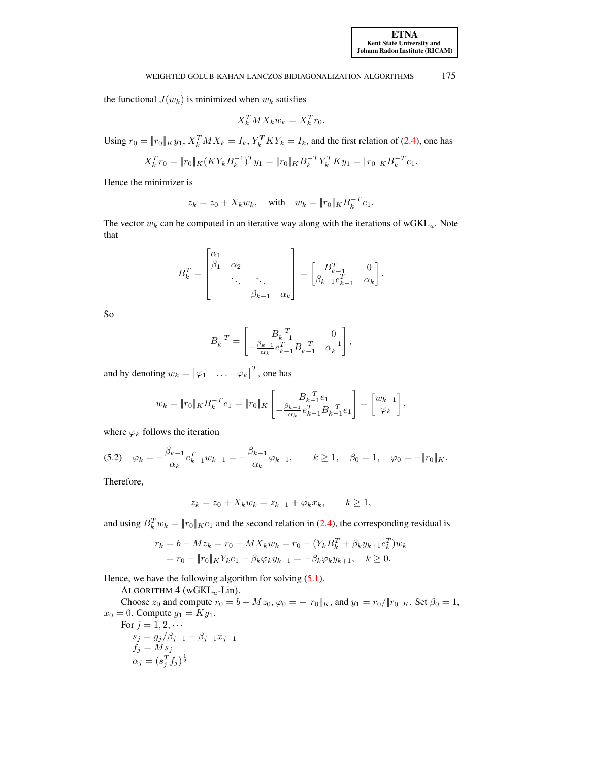the functional  $J(w_k)$  is minimized when  $w_k$  satisfies

$$
X_k^T M X_k w_k = X_k^T r_0.
$$

Using  $r_0 = ||r_0||_K y_1$ ,  $X_k^T M X_k = I_k$ ,  $Y_k^T K Y_k = I_k$ , and the first relation of [\(2.4\)](#page-3-1), one has

$$
X_k^T r_0 = \|r_0\|_K (K Y_k B_k^{-1})^T y_1 = \|r_0\|_K B_k^{-T} Y_k^T K y_1 = \|r_0\|_K B_k^{-T} e_1.
$$

Hence the minimizer is

$$
z_k = z_0 + X_k w_k
$$
, with  $w_k = ||r_0||_K B_k^{-T} e_1$ .

The vector  $w_k$  can be computed in an iterative way along with the iterations of wGKL<sub>u</sub>. Note that

$$
B_k^T = \begin{bmatrix} \alpha_1 & & & \\ \beta_1 & \alpha_2 & & \\ & \ddots & \ddots & \\ & & \beta_{k-1} & \alpha_k \end{bmatrix} = \begin{bmatrix} B_{k-1}^T & 0 \\ \beta_{k-1} e_{k-1}^T & \alpha_k \end{bmatrix}.
$$

So

$$
B_k^{-T} = \begin{bmatrix} B_{k-1}^{-T} & 0\\ -\frac{\beta_{k-1}}{\alpha_k} e_{k-1}^T B_{k-1}^{-T} & \alpha_k^{-1} \end{bmatrix},
$$

and by denoting  $w_k = [\varphi_1 \quad \dots \quad \varphi_k]^T$ , one has

<span id="page-22-1"></span>
$$
w_k = \|r_0\|_K B_k^{-T} e_1 = \|r_0\|_K \left[ \frac{B_{k-1}^{-T} e_1}{\alpha_k} e_{k-1}^T B_{k-1}^{-T} e_1 \right] = \begin{bmatrix} w_{k-1} \\ \varphi_k \end{bmatrix},
$$

where  $\varphi_k$  follows the iteration

$$
(5.2) \quad \varphi_k = -\frac{\beta_{k-1}}{\alpha_k} e_{k-1}^T w_{k-1} = -\frac{\beta_{k-1}}{\alpha_k} \varphi_{k-1}, \qquad k \ge 1, \quad \beta_0 = 1, \quad \varphi_0 = -\|r_0\|_K.
$$

Therefore,

<span id="page-22-0"></span>
$$
z_k = z_0 + X_k w_k = z_{k-1} + \varphi_k x_k, \qquad k \ge 1,
$$

and using  $B_k^T w_k = ||r_0||_K e_1$  and the second relation in [\(2.4\)](#page-3-1), the corresponding residual is

$$
r_k = b - Mz_k = r_0 - MX_kw_k = r_0 - (Y_kB_k^T + \beta_ky_{k+1}e_k^T)w_k
$$
  
=  $r_0 - ||r_0||_KY_ke_1 - \beta_k\varphi_ky_{k+1} = -\beta_k\varphi_ky_{k+1}, \quad k \ge 0.$ 

Hence, we have the following algorithm for solving  $(5.1)$ .

ALGORITHM  $4$  (wGKL<sub>u</sub>-Lin).

Choose  $z_0$  and compute  $r_0 = b - Mz_0$ ,  $\varphi_0 = -||r_0||_K$ , and  $y_1 = r_0/||r_0||_K$ . Set  $\beta_0 = 1$ ,  $x_0 = 0$ . Compute  $g_1 = Ky_1$ . For  $j = 1, 2, \cdots$  $s_j = g_j/\beta_{j-1} - \beta_{j-1}x_{j-1}$  $f_j = M s_j$ 

$$
\alpha_j = (s_j^T f_j)^{\frac{1}{2}}
$$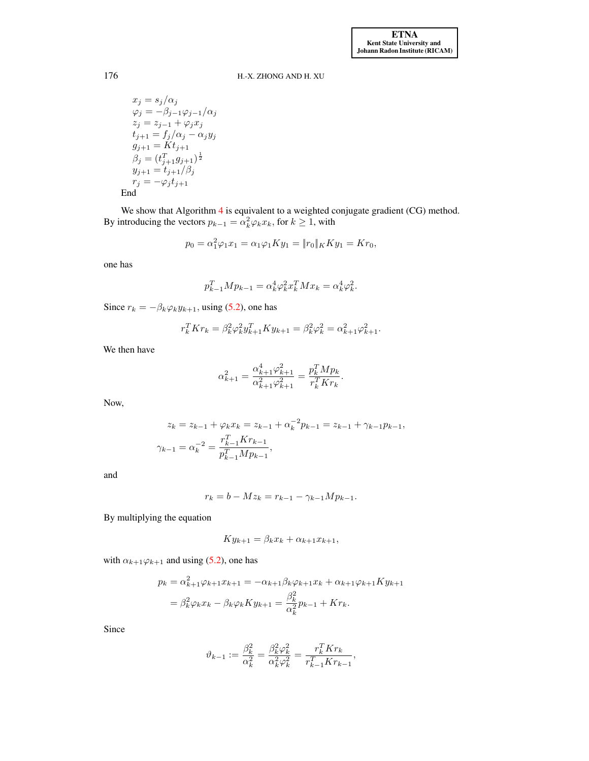$x_j = s_j/\alpha_j$  $\varphi_j = -\beta_{j-1}\varphi_{j-1}/\alpha_j$  $z_j = z_{j-1} + \varphi_j x_j$  $t_{j+1} = f_j/\alpha_j - \alpha_j y_j$  $g_{j+1} = Kt_{j+1}$  $\beta_j = (t_{j+1}^T g_{j+1})^{\frac{1}{2}}$  $y_{j+1} = t_{j+1}/\beta_j$  $r_j = -\varphi_j t_{j+1}$ End

We show that Algorithm [4](#page-22-0) is equivalent to a weighted conjugate gradient (CG) method. By introducing the vectors  $p_{k-1} = \alpha_k^2 \varphi_k x_k$ , for  $k \ge 1$ , with

$$
p_0 = \alpha_1^2 \varphi_1 x_1 = \alpha_1 \varphi_1 K y_1 = ||r_0||_K K y_1 = K r_0,
$$

one has

$$
p_{k-1}^T M p_{k-1} = \alpha_k^4 \varphi_k^2 x_k^T M x_k = \alpha_k^4 \varphi_k^2.
$$

Since  $r_k = -\beta_k \varphi_k y_{k+1}$ , using [\(5.2\)](#page-22-1), one has

$$
r_k^T Kr_k = \beta_k^2 \varphi_k^2 y_{k+1}^T K y_{k+1} = \beta_k^2 \varphi_k^2 = \alpha_{k+1}^2 \varphi_{k+1}^2.
$$

We then have

$$
\alpha_{k+1}^2 = \frac{\alpha_{k+1}^4 \varphi_{k+1}^2}{\alpha_{k+1}^2 \varphi_{k+1}^2} = \frac{p_k^T M p_k}{r_k^T K r_k}.
$$

Now,

$$
z_k = z_{k-1} + \varphi_k x_k = z_{k-1} + \alpha_k^{-2} p_{k-1} = z_{k-1} + \gamma_{k-1} p_{k-1},
$$
  

$$
\gamma_{k-1} = \alpha_k^{-2} = \frac{r_{k-1}^T K r_{k-1}}{p_{k-1}^T M p_{k-1}},
$$

and

$$
r_k = b - Mz_k = r_{k-1} - \gamma_{k-1}Mp_{k-1}.
$$

By multiplying the equation

$$
Ky_{k+1} = \beta_k x_k + \alpha_{k+1} x_{k+1},
$$

with  $\alpha_{k+1}\varphi_{k+1}$  and using [\(5.2\)](#page-22-1), one has

$$
p_k = \alpha_{k+1}^2 \varphi_{k+1} x_{k+1} = -\alpha_{k+1} \beta_k \varphi_{k+1} x_k + \alpha_{k+1} \varphi_{k+1} K y_{k+1}
$$
  
=  $\beta_k^2 \varphi_k x_k - \beta_k \varphi_k K y_{k+1} = \frac{\beta_k^2}{\alpha_k^2} p_{k-1} + K r_k.$ 

Since

$$
\vartheta_{k-1} := \frac{\beta_k^2}{\alpha_k^2} = \frac{\beta_k^2 \varphi_k^2}{\alpha_k^2 \varphi_k^2} = \frac{r_k^T Kr_k}{r_{k-1}^T Kr_{k-1}},
$$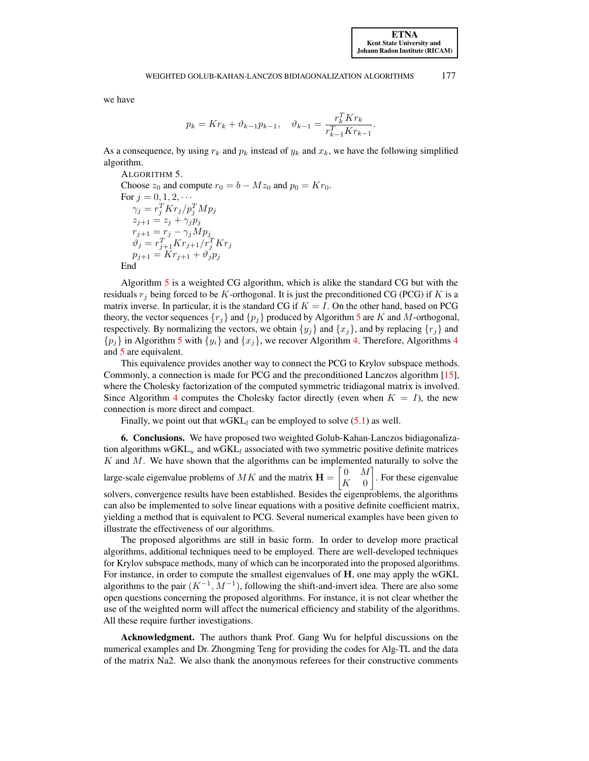we have

$$
p_k = Kr_k + \vartheta_{k-1}p_{k-1}, \quad \vartheta_{k-1} = \frac{r_k^T Kr_k}{r_{k-1}^T Kr_{k-1}}.
$$

As a consequence, by using  $r_k$  and  $p_k$  instead of  $y_k$  and  $x_k$ , we have the following simplified algorithm.

<span id="page-24-1"></span>ALGORITHM 5. Choose  $z_0$  and compute  $r_0 = b - Mz_0$  and  $p_0 = Kr_0$ . For  $j = 0, 1, 2, \cdots$  $\gamma_j = r_j^T K r_j / p_j^T M p_j$  $z_{j+1} = z_j + \gamma_j p_j$  $r_{j+1} = r_j - \gamma_j Mp_j$  $\vartheta_j = r_{j+1}^T Kr_{j+1}/r_j^T Kr_j$  $p_{j+1} = Kr_{j+1} + \vartheta_j p_j$ End

Algorithm [5](#page-24-1) is a weighted CG algorithm, which is alike the standard CG but with the residuals  $r_i$  being forced to be K-orthogonal. It is just the preconditioned CG (PCG) if K is a matrix inverse. In particular, it is the standard CG if  $K = I$ . On the other hand, based on PCG theory, the vector sequences  $\{r_i\}$  and  $\{p_i\}$  produced by Algorithm [5](#page-24-1) are K and M-orthogonal, respectively. By normalizing the vectors, we obtain  $\{y_j\}$  and  $\{x_j\}$ , and by replacing  $\{r_j\}$  and  $\{p_j\}$  in Algorithm [5](#page-24-1) with  $\{y_i\}$  and  $\{x_j\}$ , we recover Algorithm [4.](#page-22-0) Therefore, Algorithms [4](#page-22-0) and [5](#page-24-1) are equivalent.

This equivalence provides another way to connect the PCG to Krylov subspace methods. Commonly, a connection is made for PCG and the preconditioned Lanczos algorithm [\[15\]](#page-25-9), where the Cholesky factorization of the computed symmetric tridiagonal matrix is involved. Since Algorithm [4](#page-22-0) computes the Cholesky factor directly (even when  $K = I$ ), the new connection is more direct and compact.

Finally, we point out that  $wGKL_l$  can be employed to solve  $(5.1)$  as well.

<span id="page-24-0"></span>6. Conclusions. We have proposed two weighted Golub-Kahan-Lanczos bidiagonalization algorithms  $wGKL_u$  and  $wGKL_l$  associated with two symmetric positive definite matrices  $K$  and  $M$ . We have shown that the algorithms can be implemented naturally to solve the large-scale eigenvalue problems of  $MK$  and the matrix  $\mathbf{H} = \begin{bmatrix} 0 & M \\ V & 0 \end{bmatrix}$  $K = 0$  . For these eigenvalue solvers, convergence results have been established. Besides the eigenproblems, the algorithms can also be implemented to solve linear equations with a positive definite coefficient matrix, yielding a method that is equivalent to PCG. Several numerical examples have been given to illustrate the effectiveness of our algorithms.

The proposed algorithms are still in basic form. In order to develop more practical algorithms, additional techniques need to be employed. There are well-developed techniques for Krylov subspace methods, many of which can be incorporated into the proposed algorithms. For instance, in order to compute the smallest eigenvalues of H, one may apply the wGKL algorithms to the pair  $(K^{-1}, M^{-1})$ , following the shift-and-invert idea. There are also some open questions concerning the proposed algorithms. For instance, it is not clear whether the use of the weighted norm will affect the numerical efficiency and stability of the algorithms. All these require further investigations.

Acknowledgment. The authors thank Prof. Gang Wu for helpful discussions on the numerical examples and Dr. Zhongming Teng for providing the codes for Alg-TL and the data of the matrix Na2. We also thank the anonymous referees for their constructive comments